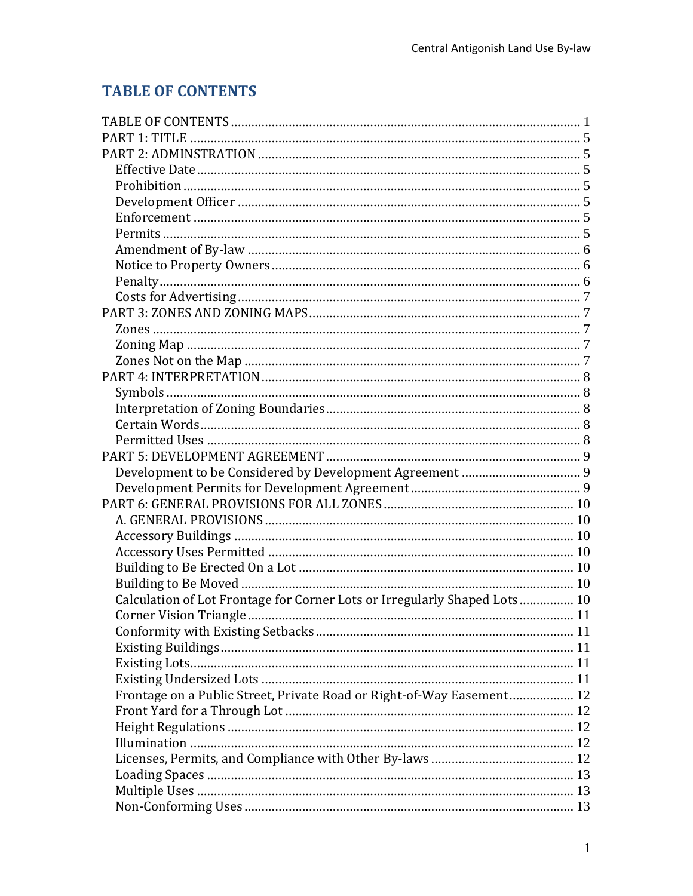# <span id="page-0-0"></span>**TABLE OF CONTENTS**

| Calculation of Lot Frontage for Corner Lots or Irregularly Shaped Lots 10 |  |
|---------------------------------------------------------------------------|--|
|                                                                           |  |
|                                                                           |  |
|                                                                           |  |
|                                                                           |  |
|                                                                           |  |
| Frontage on a Public Street, Private Road or Right-of-Way Easement 12     |  |
|                                                                           |  |
|                                                                           |  |
|                                                                           |  |
|                                                                           |  |
|                                                                           |  |
|                                                                           |  |
|                                                                           |  |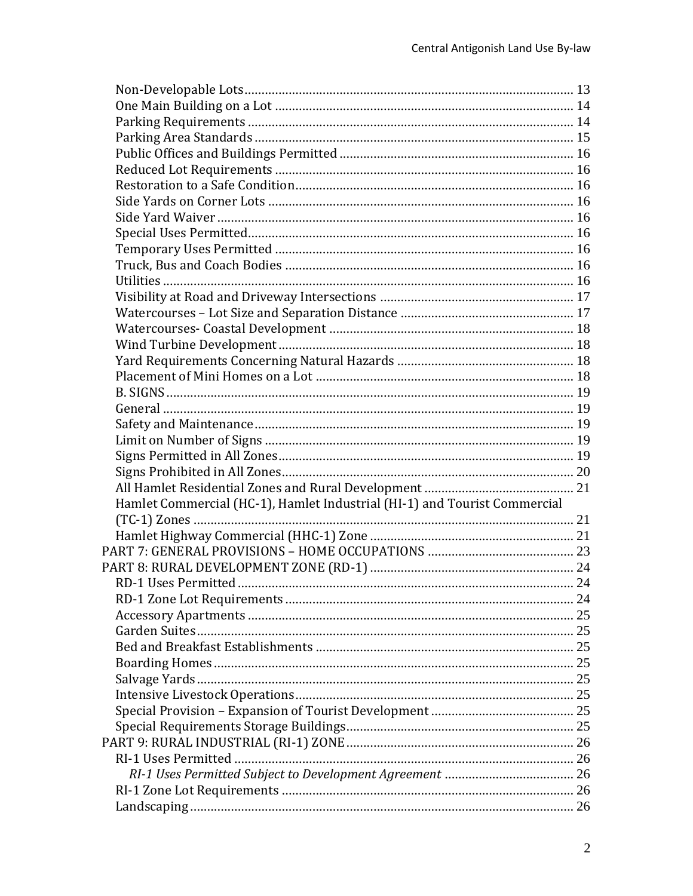| Hamlet Commercial (HC-1), Hamlet Industrial (HI-1) and Tourist Commercial |  |
|---------------------------------------------------------------------------|--|
|                                                                           |  |
|                                                                           |  |
|                                                                           |  |
|                                                                           |  |
|                                                                           |  |
|                                                                           |  |
|                                                                           |  |
|                                                                           |  |
|                                                                           |  |
|                                                                           |  |
|                                                                           |  |
|                                                                           |  |
|                                                                           |  |
|                                                                           |  |
|                                                                           |  |
|                                                                           |  |
|                                                                           |  |
|                                                                           |  |
|                                                                           |  |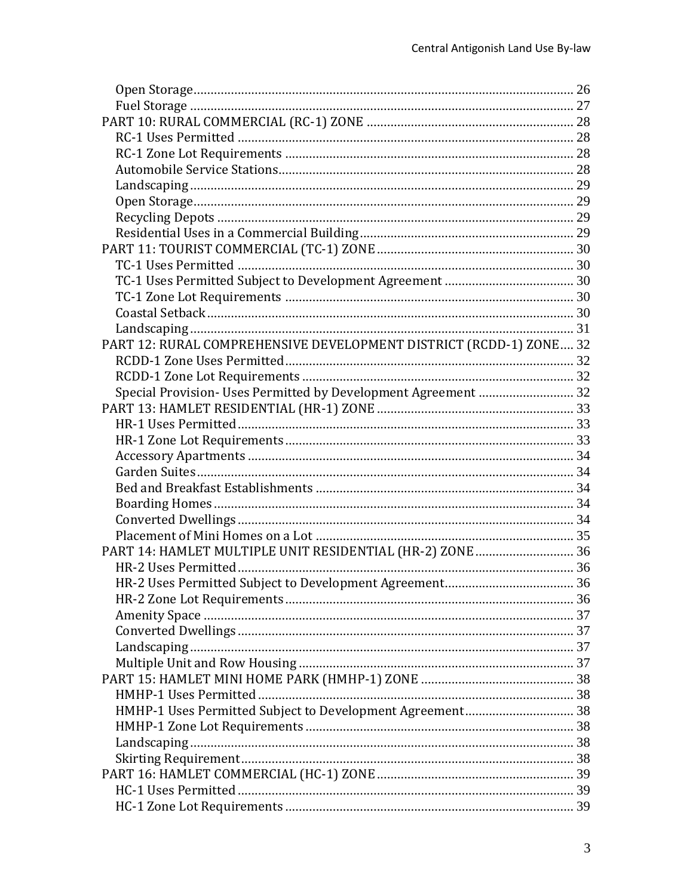| PART 12: RURAL COMPREHENSIVE DEVELOPMENT DISTRICT (RCDD-1) ZONE 32 |  |
|--------------------------------------------------------------------|--|
|                                                                    |  |
|                                                                    |  |
| Special Provision- Uses Permitted by Development Agreement  32     |  |
|                                                                    |  |
|                                                                    |  |
|                                                                    |  |
|                                                                    |  |
|                                                                    |  |
|                                                                    |  |
|                                                                    |  |
|                                                                    |  |
|                                                                    |  |
| PART 14: HAMLET MULTIPLE UNIT RESIDENTIAL (HR-2) ZONE 36           |  |
|                                                                    |  |
|                                                                    |  |
|                                                                    |  |
|                                                                    |  |
|                                                                    |  |
|                                                                    |  |
|                                                                    |  |
|                                                                    |  |
|                                                                    |  |
| HMHP-1 Uses Permitted Subject to Development Agreement 38          |  |
|                                                                    |  |
|                                                                    |  |
|                                                                    |  |
|                                                                    |  |
|                                                                    |  |
|                                                                    |  |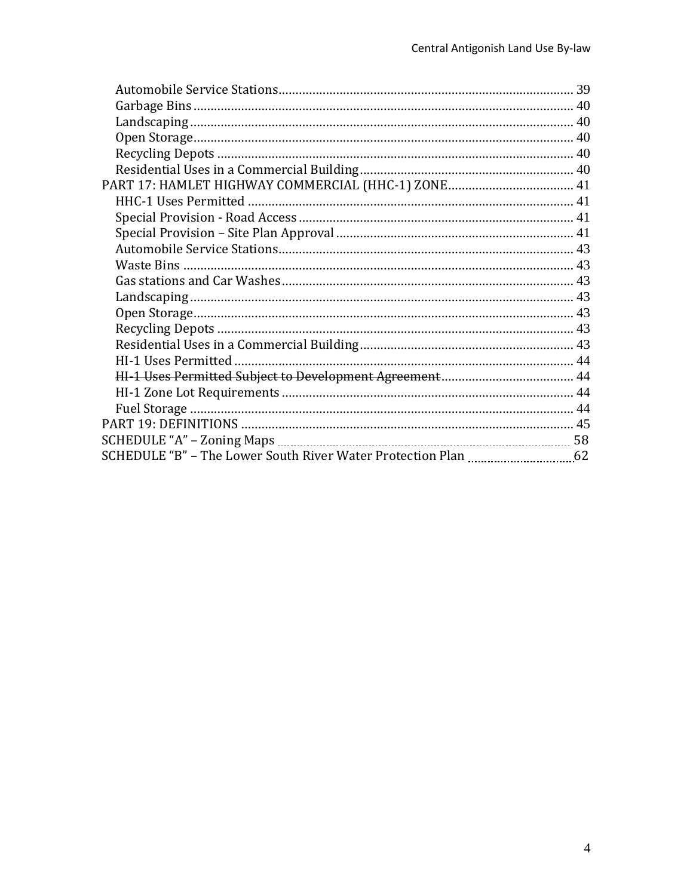| PART 17: HAMLET HIGHWAY COMMERCIAL (HHC-1) ZONE 41 |  |
|----------------------------------------------------|--|
|                                                    |  |
|                                                    |  |
|                                                    |  |
|                                                    |  |
|                                                    |  |
|                                                    |  |
|                                                    |  |
|                                                    |  |
|                                                    |  |
|                                                    |  |
|                                                    |  |
|                                                    |  |
|                                                    |  |
|                                                    |  |
|                                                    |  |
|                                                    |  |
|                                                    |  |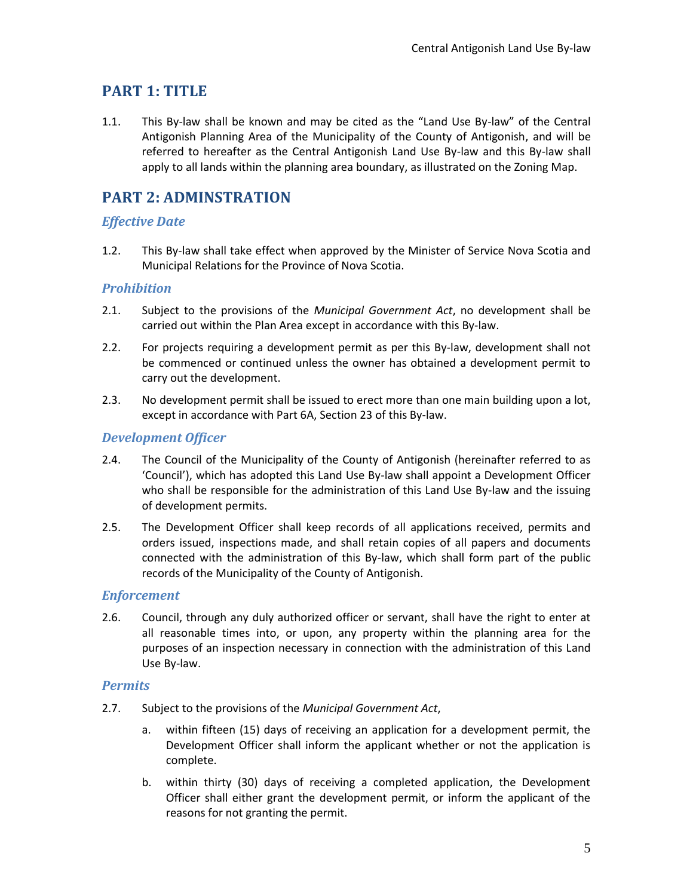# <span id="page-4-0"></span>**PART 1: TITLE**

1.1. This By-law shall be known and may be cited as the "Land Use By-law" of the Central Antigonish Planning Area of the Municipality of the County of Antigonish, and will be referred to hereafter as the Central Antigonish Land Use By-law and this By-law shall apply to all lands within the planning area boundary, as illustrated on the Zoning Map.

# <span id="page-4-1"></span>**PART 2: ADMINSTRATION**

## <span id="page-4-2"></span>*Effective Date*

1.2. This By-law shall take effect when approved by the Minister of Service Nova Scotia and Municipal Relations for the Province of Nova Scotia.

## <span id="page-4-3"></span>*Prohibition*

- 2.1. Subject to the provisions of the *Municipal Government Act*, no development shall be carried out within the Plan Area except in accordance with this By-law.
- 2.2. For projects requiring a development permit as per this By-law, development shall not be commenced or continued unless the owner has obtained a development permit to carry out the development.
- 2.3. No development permit shall be issued to erect more than one main building upon a lot, except in accordance with Part 6A, Section 23 of this By-law.

## <span id="page-4-4"></span>*Development Officer*

- 2.4. The Council of the Municipality of the County of Antigonish (hereinafter referred to as 'Council'), which has adopted this Land Use By-law shall appoint a Development Officer who shall be responsible for the administration of this Land Use By-law and the issuing of development permits.
- 2.5. The Development Officer shall keep records of all applications received, permits and orders issued, inspections made, and shall retain copies of all papers and documents connected with the administration of this By-law, which shall form part of the public records of the Municipality of the County of Antigonish.

### <span id="page-4-5"></span>*Enforcement*

2.6. Council, through any duly authorized officer or servant, shall have the right to enter at all reasonable times into, or upon, any property within the planning area for the purposes of an inspection necessary in connection with the administration of this Land Use By-law.

### <span id="page-4-6"></span>*Permits*

- 2.7. Subject to the provisions of the *Municipal Government Act*,
	- a. within fifteen (15) days of receiving an application for a development permit, the Development Officer shall inform the applicant whether or not the application is complete.
	- b. within thirty (30) days of receiving a completed application, the Development Officer shall either grant the development permit, or inform the applicant of the reasons for not granting the permit.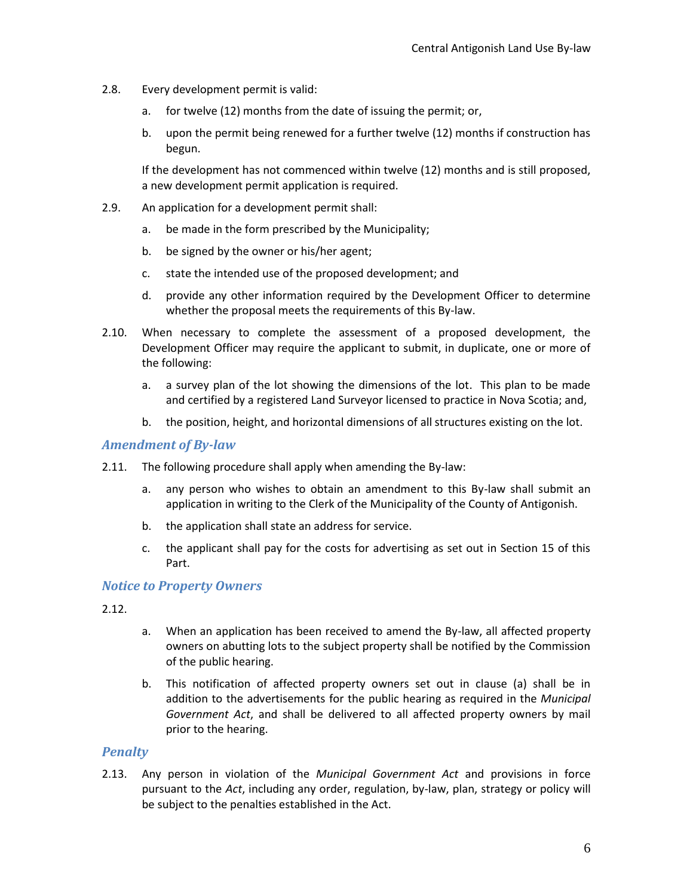- 2.8. Every development permit is valid:
	- a. for twelve (12) months from the date of issuing the permit; or,
	- b. upon the permit being renewed for a further twelve (12) months if construction has begun.

If the development has not commenced within twelve (12) months and is still proposed, a new development permit application is required.

- 2.9. An application for a development permit shall:
	- a. be made in the form prescribed by the Municipality;
	- b. be signed by the owner or his/her agent;
	- c. state the intended use of the proposed development; and
	- d. provide any other information required by the Development Officer to determine whether the proposal meets the requirements of this By-law.
- 2.10. When necessary to complete the assessment of a proposed development, the Development Officer may require the applicant to submit, in duplicate, one or more of the following:
	- a. a survey plan of the lot showing the dimensions of the lot. This plan to be made and certified by a registered Land Surveyor licensed to practice in Nova Scotia; and,
	- b. the position, height, and horizontal dimensions of all structures existing on the lot.

#### <span id="page-5-0"></span>*Amendment of By-law*

- 2.11. The following procedure shall apply when amending the By-law:
	- a. any person who wishes to obtain an amendment to this By-law shall submit an application in writing to the Clerk of the Municipality of the County of Antigonish.
	- b. the application shall state an address for service.
	- c. the applicant shall pay for the costs for advertising as set out in Section 15 of this Part.

#### <span id="page-5-1"></span>*Notice to Property Owners*

- 2.12.
- a. When an application has been received to amend the By-law, all affected property owners on abutting lots to the subject property shall be notified by the Commission of the public hearing.
- b. This notification of affected property owners set out in clause (a) shall be in addition to the advertisements for the public hearing as required in the *Municipal Government Act*, and shall be delivered to all affected property owners by mail prior to the hearing.

### <span id="page-5-2"></span>*Penalty*

2.13. Any person in violation of the *Municipal Government Act* and provisions in force pursuant to the *Act*, including any order, regulation, by-law, plan, strategy or policy will be subject to the penalties established in the Act.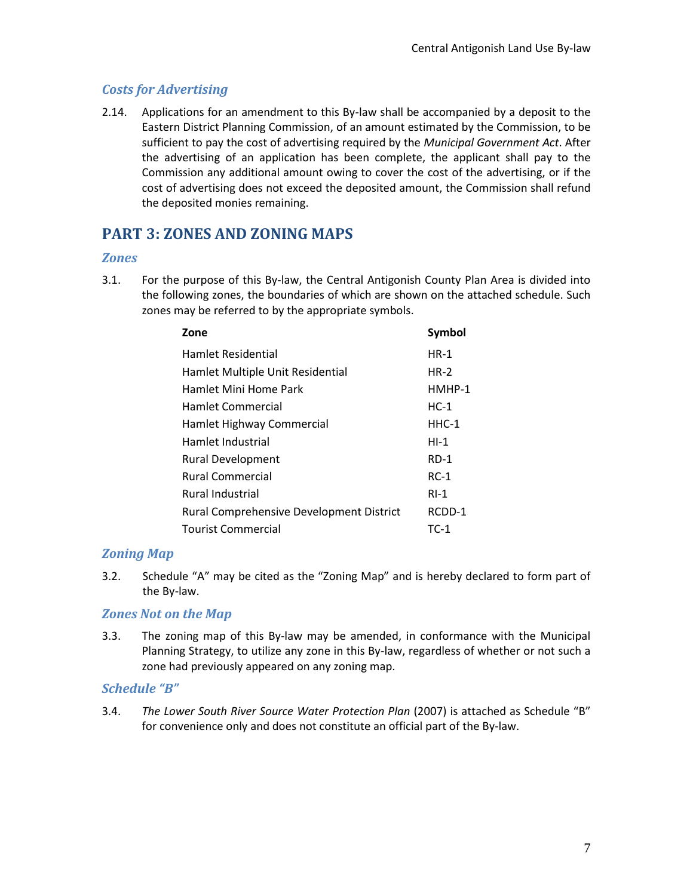## <span id="page-6-0"></span>*Costs for Advertising*

2.14. Applications for an amendment to this By-law shall be accompanied by a deposit to the Eastern District Planning Commission, of an amount estimated by the Commission, to be sufficient to pay the cost of advertising required by the *Municipal Government Act*. After the advertising of an application has been complete, the applicant shall pay to the Commission any additional amount owing to cover the cost of the advertising, or if the cost of advertising does not exceed the deposited amount, the Commission shall refund the deposited monies remaining.

# <span id="page-6-1"></span>**PART 3: ZONES AND ZONING MAPS**

## <span id="page-6-2"></span>*Zones*

3.1. For the purpose of this By-law, the Central Antigonish County Plan Area is divided into the following zones, the boundaries of which are shown on the attached schedule. Such zones may be referred to by the appropriate symbols.

| Zone                                     | <b>Symbol</b> |
|------------------------------------------|---------------|
| <b>Hamlet Residential</b>                | $HR-1$        |
| Hamlet Multiple Unit Residential         | $HR-2$        |
| Hamlet Mini Home Park                    | HMHP-1        |
| Hamlet Commercial                        | $HC-1$        |
| Hamlet Highway Commercial                | $HHC-1$       |
| Hamlet Industrial                        | $H-I$         |
| <b>Rural Development</b>                 | $RD-1$        |
| <b>Rural Commercial</b>                  | $RC-1$        |
| <b>Rural Industrial</b>                  | $RI-1$        |
| Rural Comprehensive Development District | RCDD-1        |
| <b>Tourist Commercial</b>                | TC-1          |

## <span id="page-6-3"></span>*Zoning Map*

3.2. Schedule "A" may be cited as the "Zoning Map" and is hereby declared to form part of the By-law.

## <span id="page-6-4"></span>*Zones Not on the Map*

3.3. The zoning map of this By-law may be amended, in conformance with the Municipal Planning Strategy, to utilize any zone in this By-law, regardless of whether or not such a zone had previously appeared on any zoning map.

## *Schedule "B"*

3.4. *The Lower South River Source Water Protection Plan* (2007) is attached as Schedule "B" for convenience only and does not constitute an official part of the By-law.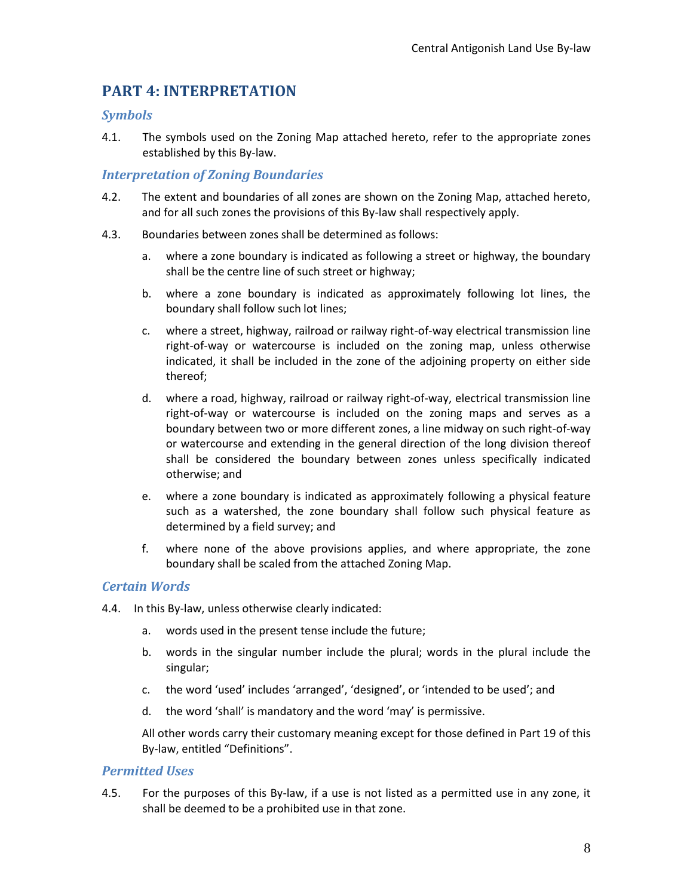## <span id="page-7-0"></span>**PART 4: INTERPRETATION**

#### <span id="page-7-1"></span>*Symbols*

4.1. The symbols used on the Zoning Map attached hereto, refer to the appropriate zones established by this By-law.

#### <span id="page-7-2"></span>*Interpretation of Zoning Boundaries*

- 4.2. The extent and boundaries of all zones are shown on the Zoning Map, attached hereto, and for all such zones the provisions of this By-law shall respectively apply.
- 4.3. Boundaries between zones shall be determined as follows:
	- a. where a zone boundary is indicated as following a street or highway, the boundary shall be the centre line of such street or highway;
	- b. where a zone boundary is indicated as approximately following lot lines, the boundary shall follow such lot lines;
	- c. where a street, highway, railroad or railway right-of-way electrical transmission line right-of-way or watercourse is included on the zoning map, unless otherwise indicated, it shall be included in the zone of the adjoining property on either side thereof;
	- d. where a road, highway, railroad or railway right-of-way, electrical transmission line right-of-way or watercourse is included on the zoning maps and serves as a boundary between two or more different zones, a line midway on such right-of-way or watercourse and extending in the general direction of the long division thereof shall be considered the boundary between zones unless specifically indicated otherwise; and
	- e. where a zone boundary is indicated as approximately following a physical feature such as a watershed, the zone boundary shall follow such physical feature as determined by a field survey; and
	- f. where none of the above provisions applies, and where appropriate, the zone boundary shall be scaled from the attached Zoning Map.

### <span id="page-7-3"></span>*Certain Words*

- 4.4. In this By-law, unless otherwise clearly indicated:
	- a. words used in the present tense include the future;
	- b. words in the singular number include the plural; words in the plural include the singular;
	- c. the word 'used' includes 'arranged', 'designed', or 'intended to be used'; and
	- d. the word 'shall' is mandatory and the word 'may' is permissive.

All other words carry their customary meaning except for those defined in Part 19 of this By-law, entitled "Definitions".

### <span id="page-7-4"></span>*Permitted Uses*

4.5. For the purposes of this By-law, if a use is not listed as a permitted use in any zone, it shall be deemed to be a prohibited use in that zone.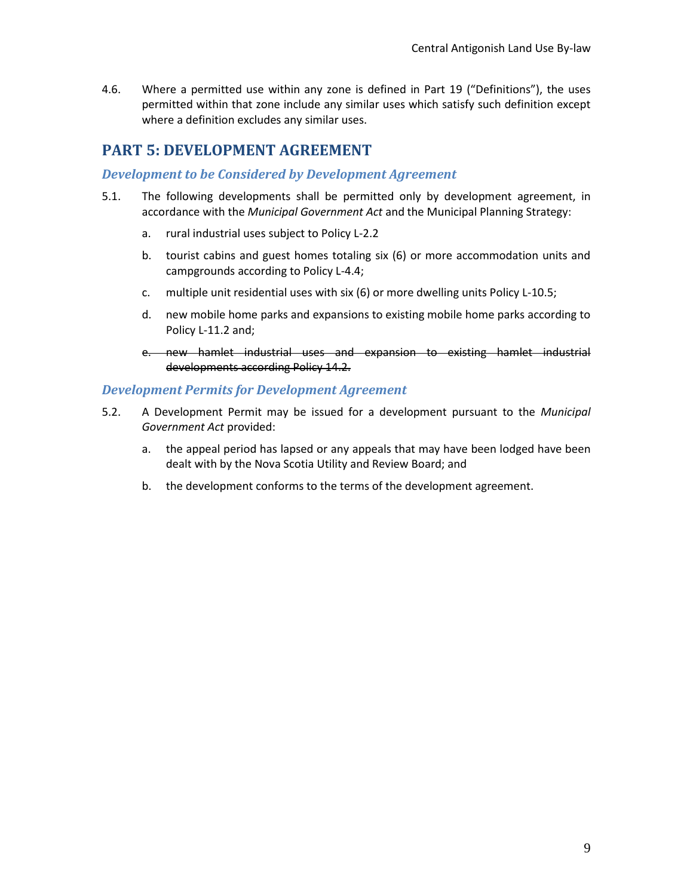4.6. Where a permitted use within any zone is defined in Part 19 ("Definitions"), the uses permitted within that zone include any similar uses which satisfy such definition except where a definition excludes any similar uses.

## <span id="page-8-0"></span>**PART 5: DEVELOPMENT AGREEMENT**

#### <span id="page-8-1"></span>*Development to be Considered by Development Agreement*

- 5.1. The following developments shall be permitted only by development agreement, in accordance with the *Municipal Government Act* and the Municipal Planning Strategy:
	- a. rural industrial uses subject to Policy L-2.2
	- b. tourist cabins and guest homes totaling six (6) or more accommodation units and campgrounds according to Policy L-4.4;
	- c. multiple unit residential uses with six (6) or more dwelling units Policy L-10.5;
	- d. new mobile home parks and expansions to existing mobile home parks according to Policy L-11.2 and;
	- e. new hamlet industrial uses and expansion to existing hamlet industrial developments according Policy 14.2.

#### <span id="page-8-2"></span>*Development Permits for Development Agreement*

- 5.2. A Development Permit may be issued for a development pursuant to the *Municipal Government Act* provided:
	- a. the appeal period has lapsed or any appeals that may have been lodged have been dealt with by the Nova Scotia Utility and Review Board; and
	- b. the development conforms to the terms of the development agreement.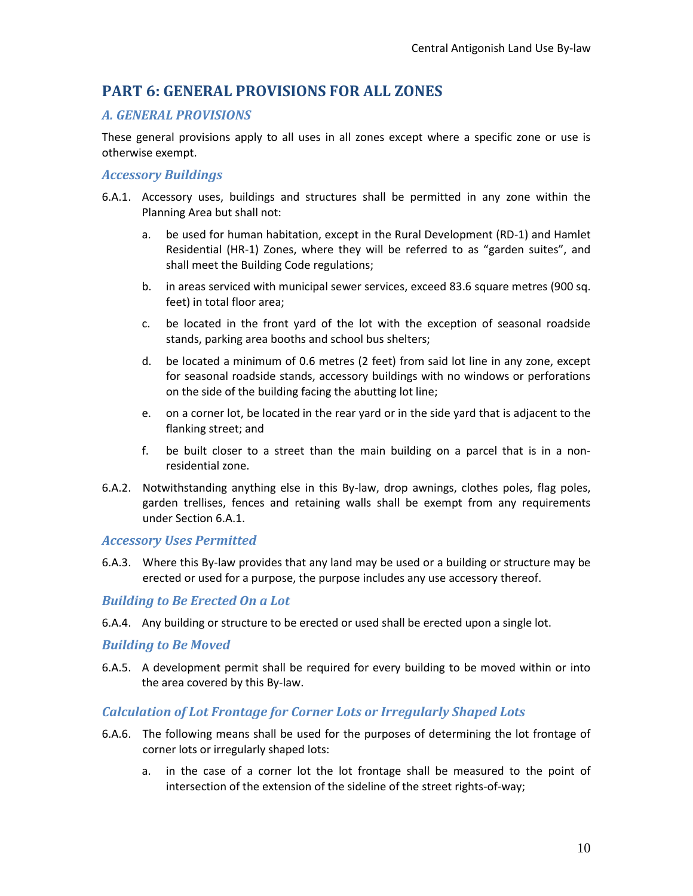## <span id="page-9-0"></span>**PART 6: GENERAL PROVISIONS FOR ALL ZONES**

## <span id="page-9-1"></span>*A. GENERAL PROVISIONS*

These general provisions apply to all uses in all zones except where a specific zone or use is otherwise exempt.

### <span id="page-9-2"></span>*Accessory Buildings*

- 6.A.1. Accessory uses, buildings and structures shall be permitted in any zone within the Planning Area but shall not:
	- a. be used for human habitation, except in the Rural Development (RD-1) and Hamlet Residential (HR-1) Zones, where they will be referred to as "garden suites", and shall meet the Building Code regulations;
	- b. in areas serviced with municipal sewer services, exceed 83.6 square metres (900 sq. feet) in total floor area;
	- c. be located in the front yard of the lot with the exception of seasonal roadside stands, parking area booths and school bus shelters;
	- d. be located a minimum of 0.6 metres (2 feet) from said lot line in any zone, except for seasonal roadside stands, accessory buildings with no windows or perforations on the side of the building facing the abutting lot line;
	- e. on a corner lot, be located in the rear yard or in the side yard that is adjacent to the flanking street; and
	- f. be built closer to a street than the main building on a parcel that is in a nonresidential zone.
- 6.A.2. Notwithstanding anything else in this By-law, drop awnings, clothes poles, flag poles, garden trellises, fences and retaining walls shall be exempt from any requirements under Section 6.A.1.

#### <span id="page-9-3"></span>*Accessory Uses Permitted*

6.A.3. Where this By-law provides that any land may be used or a building or structure may be erected or used for a purpose, the purpose includes any use accessory thereof.

#### <span id="page-9-4"></span>*Building to Be Erected On a Lot*

6.A.4. Any building or structure to be erected or used shall be erected upon a single lot.

#### <span id="page-9-5"></span>*Building to Be Moved*

6.A.5. A development permit shall be required for every building to be moved within or into the area covered by this By-law.

### <span id="page-9-6"></span>*Calculation of Lot Frontage for Corner Lots or Irregularly Shaped Lots*

- 6.A.6. The following means shall be used for the purposes of determining the lot frontage of corner lots or irregularly shaped lots:
	- a. in the case of a corner lot the lot frontage shall be measured to the point of intersection of the extension of the sideline of the street rights-of-way;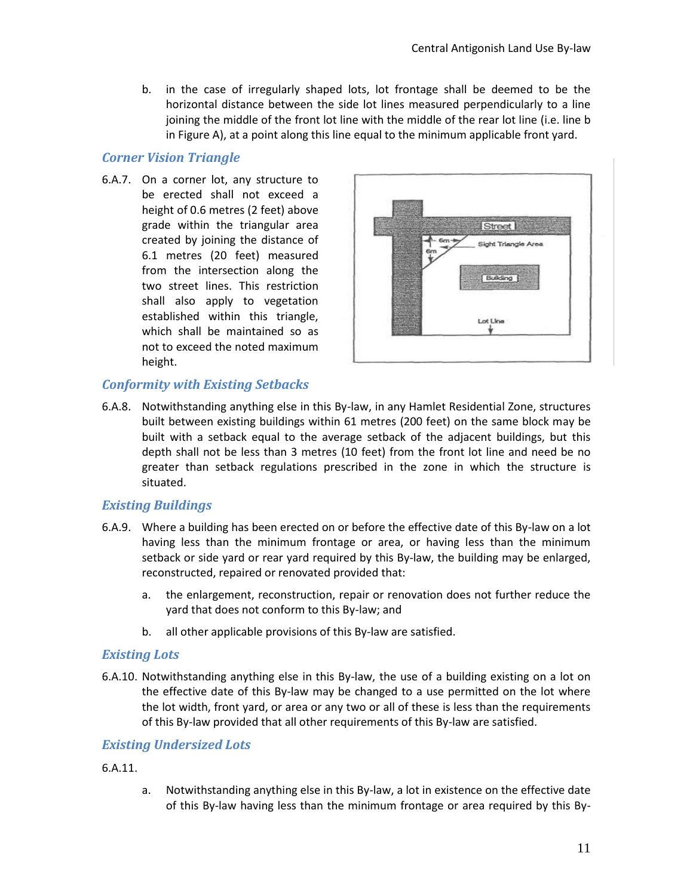b. in the case of irregularly shaped lots, lot frontage shall be deemed to be the horizontal distance between the side lot lines measured perpendicularly to a line joining the middle of the front lot line with the middle of the rear lot line (i.e. line b in Figure A), at a point along this line equal to the minimum applicable front yard.

#### <span id="page-10-0"></span>*Corner Vision Triangle*

6.A.7. On a corner lot, any structure to be erected shall not exceed a height of 0.6 metres (2 feet) above grade within the triangular area created by joining the distance of 6.1 metres (20 feet) measured from the intersection along the two street lines. This restriction shall also apply to vegetation established within this triangle, which shall be maintained so as not to exceed the noted maximum height.



### <span id="page-10-1"></span>*Conformity with Existing Setbacks*

6.A.8. Notwithstanding anything else in this By-law, in any Hamlet Residential Zone, structures built between existing buildings within 61 metres (200 feet) on the same block may be built with a setback equal to the average setback of the adjacent buildings, but this depth shall not be less than 3 metres (10 feet) from the front lot line and need be no greater than setback regulations prescribed in the zone in which the structure is situated.

### <span id="page-10-2"></span>*Existing Buildings*

- 6.A.9. Where a building has been erected on or before the effective date of this By-law on a lot having less than the minimum frontage or area, or having less than the minimum setback or side yard or rear yard required by this By-law, the building may be enlarged, reconstructed, repaired or renovated provided that:
	- a. the enlargement, reconstruction, repair or renovation does not further reduce the yard that does not conform to this By-law; and
	- b. all other applicable provisions of this By-law are satisfied.

#### <span id="page-10-3"></span>*Existing Lots*

6.A.10. Notwithstanding anything else in this By-law, the use of a building existing on a lot on the effective date of this By-law may be changed to a use permitted on the lot where the lot width, front yard, or area or any two or all of these is less than the requirements of this By-law provided that all other requirements of this By-law are satisfied.

#### <span id="page-10-4"></span>*Existing Undersized Lots*

#### 6.A.11.

a. Notwithstanding anything else in this By-law, a lot in existence on the effective date of this By-law having less than the minimum frontage or area required by this By-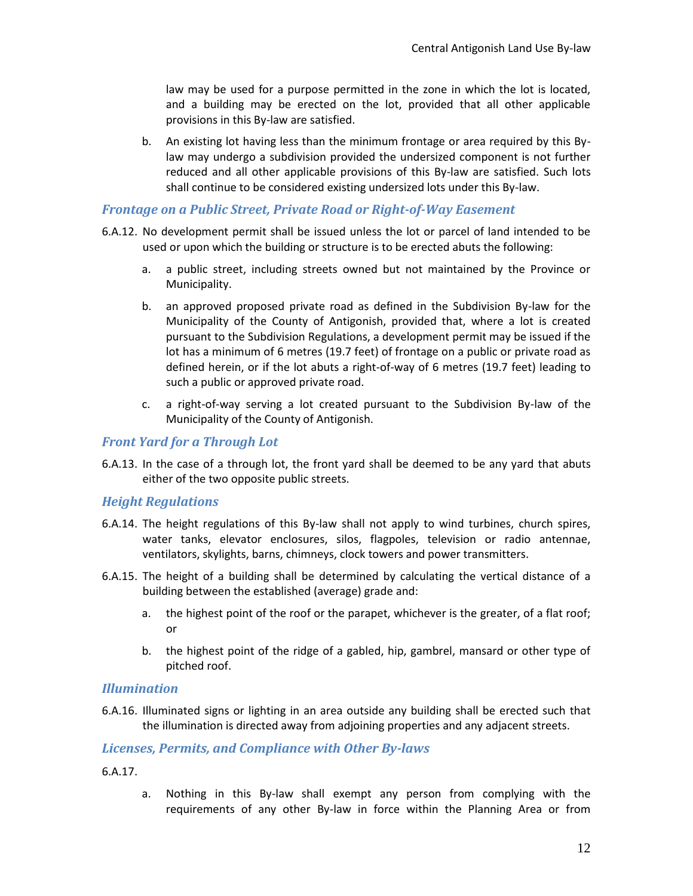law may be used for a purpose permitted in the zone in which the lot is located, and a building may be erected on the lot, provided that all other applicable provisions in this By-law are satisfied.

b. An existing lot having less than the minimum frontage or area required by this Bylaw may undergo a subdivision provided the undersized component is not further reduced and all other applicable provisions of this By-law are satisfied. Such lots shall continue to be considered existing undersized lots under this By-law.

#### <span id="page-11-0"></span>*Frontage on a Public Street, Private Road or Right-of-Way Easement*

- 6.A.12. No development permit shall be issued unless the lot or parcel of land intended to be used or upon which the building or structure is to be erected abuts the following:
	- a. a public street, including streets owned but not maintained by the Province or Municipality.
	- b. an approved proposed private road as defined in the Subdivision By-law for the Municipality of the County of Antigonish, provided that, where a lot is created pursuant to the Subdivision Regulations, a development permit may be issued if the lot has a minimum of 6 metres (19.7 feet) of frontage on a public or private road as defined herein, or if the lot abuts a right-of-way of 6 metres (19.7 feet) leading to such a public or approved private road.
	- c. a right-of-way serving a lot created pursuant to the Subdivision By-law of the Municipality of the County of Antigonish.

#### <span id="page-11-1"></span>*Front Yard for a Through Lot*

6.A.13. In the case of a through lot, the front yard shall be deemed to be any yard that abuts either of the two opposite public streets.

#### <span id="page-11-2"></span>*Height Regulations*

- 6.A.14. The height regulations of this By-law shall not apply to wind turbines, church spires, water tanks, elevator enclosures, silos, flagpoles, television or radio antennae, ventilators, skylights, barns, chimneys, clock towers and power transmitters.
- 6.A.15. The height of a building shall be determined by calculating the vertical distance of a building between the established (average) grade and:
	- a. the highest point of the roof or the parapet, whichever is the greater, of a flat roof; or
	- b. the highest point of the ridge of a gabled, hip, gambrel, mansard or other type of pitched roof.

#### <span id="page-11-3"></span>*Illumination*

6.A.16. Illuminated signs or lighting in an area outside any building shall be erected such that the illumination is directed away from adjoining properties and any adjacent streets.

#### <span id="page-11-4"></span>*Licenses, Permits, and Compliance with Other By-laws*

6.A.17.

a. Nothing in this By-law shall exempt any person from complying with the requirements of any other By-law in force within the Planning Area or from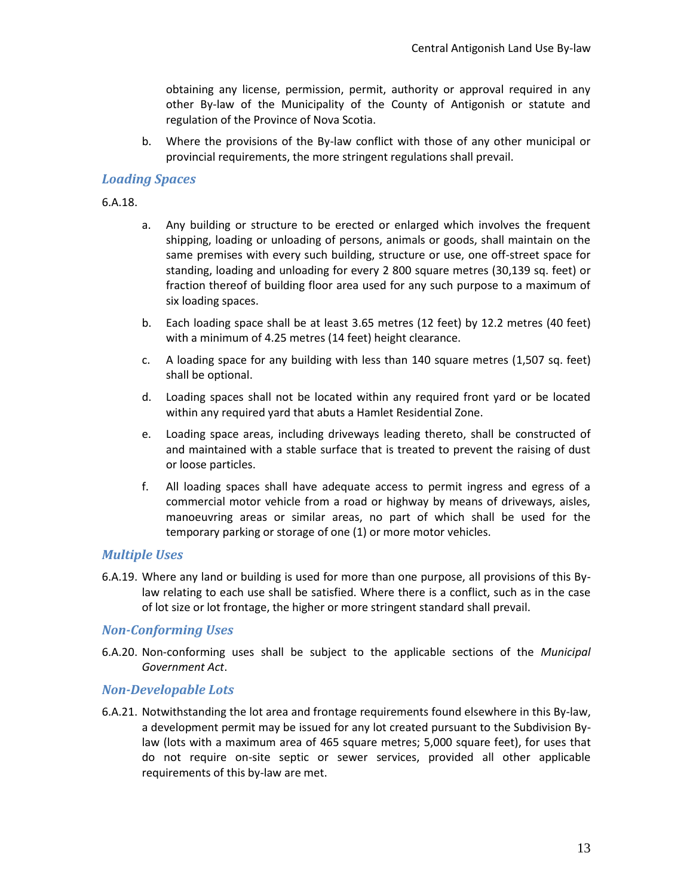obtaining any license, permission, permit, authority or approval required in any other By-law of the Municipality of the County of Antigonish or statute and regulation of the Province of Nova Scotia.

b. Where the provisions of the By-law conflict with those of any other municipal or provincial requirements, the more stringent regulations shall prevail.

#### <span id="page-12-0"></span>*Loading Spaces*

6.A.18.

- a. Any building or structure to be erected or enlarged which involves the frequent shipping, loading or unloading of persons, animals or goods, shall maintain on the same premises with every such building, structure or use, one off-street space for standing, loading and unloading for every 2 800 square metres (30,139 sq. feet) or fraction thereof of building floor area used for any such purpose to a maximum of six loading spaces.
- b. Each loading space shall be at least 3.65 metres (12 feet) by 12.2 metres (40 feet) with a minimum of 4.25 metres (14 feet) height clearance.
- c. A loading space for any building with less than 140 square metres (1,507 sq. feet) shall be optional.
- d. Loading spaces shall not be located within any required front yard or be located within any required yard that abuts a Hamlet Residential Zone.
- e. Loading space areas, including driveways leading thereto, shall be constructed of and maintained with a stable surface that is treated to prevent the raising of dust or loose particles.
- f. All loading spaces shall have adequate access to permit ingress and egress of a commercial motor vehicle from a road or highway by means of driveways, aisles, manoeuvring areas or similar areas, no part of which shall be used for the temporary parking or storage of one (1) or more motor vehicles.

#### <span id="page-12-1"></span>*Multiple Uses*

6.A.19. Where any land or building is used for more than one purpose, all provisions of this Bylaw relating to each use shall be satisfied. Where there is a conflict, such as in the case of lot size or lot frontage, the higher or more stringent standard shall prevail.

#### <span id="page-12-2"></span>*Non-Conforming Uses*

6.A.20. Non-conforming uses shall be subject to the applicable sections of the *Municipal Government Act*.

#### <span id="page-12-3"></span>*Non-Developable Lots*

6.A.21. Notwithstanding the lot area and frontage requirements found elsewhere in this By-law, a development permit may be issued for any lot created pursuant to the Subdivision Bylaw (lots with a maximum area of 465 square metres; 5,000 square feet), for uses that do not require on-site septic or sewer services, provided all other applicable requirements of this by-law are met.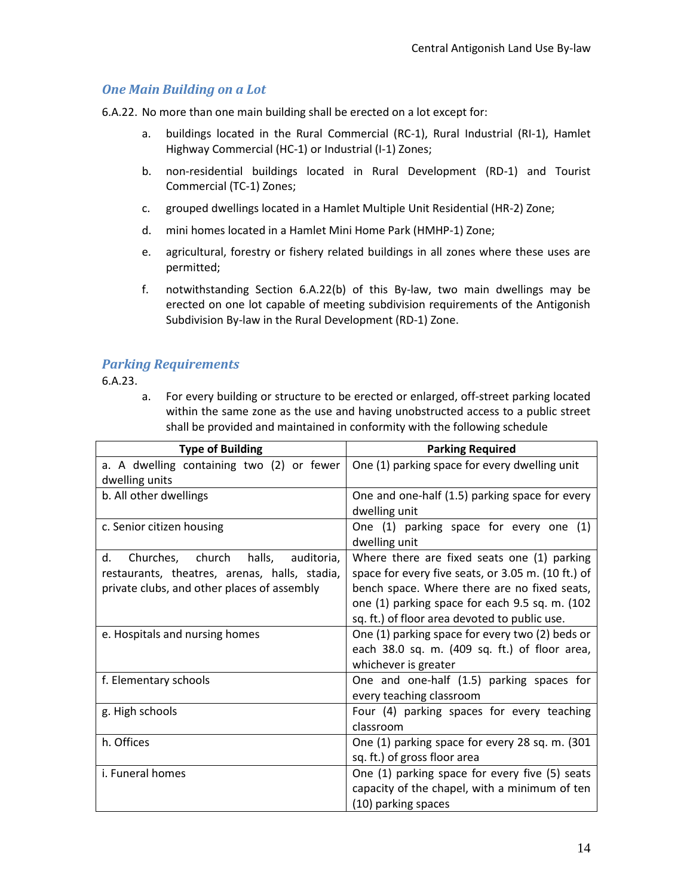## <span id="page-13-0"></span>*One Main Building on a Lot*

6.A.22. No more than one main building shall be erected on a lot except for:

- a. buildings located in the Rural Commercial (RC-1), Rural Industrial (RI-1), Hamlet Highway Commercial (HC-1) or Industrial (I-1) Zones;
- b. non-residential buildings located in Rural Development (RD-1) and Tourist Commercial (TC-1) Zones;
- c. grouped dwellings located in a Hamlet Multiple Unit Residential (HR-2) Zone;
- d. mini homes located in a Hamlet Mini Home Park (HMHP-1) Zone;
- e. agricultural, forestry or fishery related buildings in all zones where these uses are permitted;
- f. notwithstanding Section 6.A.22(b) of this By-law, two main dwellings may be erected on one lot capable of meeting subdivision requirements of the Antigonish Subdivision By-law in the Rural Development (RD-1) Zone.

## <span id="page-13-1"></span>*Parking Requirements*

6.A.23.

a. For every building or structure to be erected or enlarged, off-street parking located within the same zone as the use and having unobstructed access to a public street shall be provided and maintained in conformity with the following schedule

| <b>Type of Building</b>                       | <b>Parking Required</b>                            |
|-----------------------------------------------|----------------------------------------------------|
| a. A dwelling containing two (2) or fewer     | One (1) parking space for every dwelling unit      |
| dwelling units                                |                                                    |
| b. All other dwellings                        | One and one-half (1.5) parking space for every     |
|                                               | dwelling unit                                      |
| c. Senior citizen housing                     | One (1) parking space for every one (1)            |
|                                               | dwelling unit                                      |
| Churches, church halls, auditoria,<br>d.      | Where there are fixed seats one (1) parking        |
| restaurants, theatres, arenas, halls, stadia, | space for every five seats, or 3.05 m. (10 ft.) of |
| private clubs, and other places of assembly   | bench space. Where there are no fixed seats,       |
|                                               | one (1) parking space for each 9.5 sq. m. (102)    |
|                                               | sq. ft.) of floor area devoted to public use.      |
| e. Hospitals and nursing homes                | One (1) parking space for every two (2) beds or    |
|                                               | each 38.0 sq. m. (409 sq. ft.) of floor area,      |
|                                               | whichever is greater                               |
| f. Elementary schools                         | One and one-half (1.5) parking spaces for          |
|                                               | every teaching classroom                           |
| g. High schools                               | Four (4) parking spaces for every teaching         |
|                                               | classroom                                          |
| h. Offices                                    | One (1) parking space for every 28 sq. m. (301)    |
|                                               | sq. ft.) of gross floor area                       |
| i. Funeral homes                              | One (1) parking space for every five (5) seats     |
|                                               | capacity of the chapel, with a minimum of ten      |
|                                               | (10) parking spaces                                |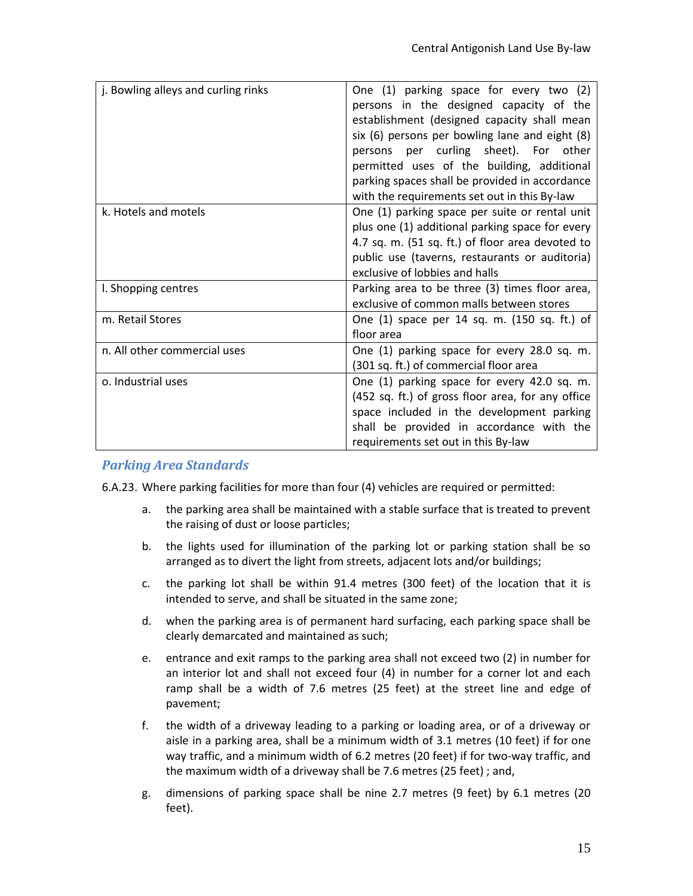| j. Bowling alleys and curling rinks | One (1) parking space for every two (2)<br>persons in the designed capacity of the<br>establishment (designed capacity shall mean<br>six (6) persons per bowling lane and eight (8)<br>per curling sheet). For other<br>persons<br>permitted uses of the building, additional<br>parking spaces shall be provided in accordance<br>with the requirements set out in this By-law |  |
|-------------------------------------|---------------------------------------------------------------------------------------------------------------------------------------------------------------------------------------------------------------------------------------------------------------------------------------------------------------------------------------------------------------------------------|--|
| k. Hotels and motels                | One (1) parking space per suite or rental unit<br>plus one (1) additional parking space for every<br>4.7 sq. m. (51 sq. ft.) of floor area devoted to<br>public use (taverns, restaurants or auditoria)<br>exclusive of lobbies and halls                                                                                                                                       |  |
| I. Shopping centres                 | Parking area to be three (3) times floor area,<br>exclusive of common malls between stores                                                                                                                                                                                                                                                                                      |  |
| m. Retail Stores                    | One (1) space per 14 sq. m. (150 sq. ft.) of<br>floor area                                                                                                                                                                                                                                                                                                                      |  |
| n. All other commercial uses        | One (1) parking space for every 28.0 sq. m.<br>(301 sq. ft.) of commercial floor area                                                                                                                                                                                                                                                                                           |  |
| o. Industrial uses                  | One (1) parking space for every 42.0 sq. m.<br>(452 sq. ft.) of gross floor area, for any office<br>space included in the development parking<br>shall be provided in accordance with the<br>requirements set out in this By-law                                                                                                                                                |  |

## <span id="page-14-0"></span>*Parking Area Standards*

6.A.23. Where parking facilities for more than four (4) vehicles are required or permitted:

- a. the parking area shall be maintained with a stable surface that is treated to prevent the raising of dust or loose particles;
- b. the lights used for illumination of the parking lot or parking station shall be so arranged as to divert the light from streets, adjacent lots and/or buildings;
- c. the parking lot shall be within 91.4 metres (300 feet) of the location that it is intended to serve, and shall be situated in the same zone;
- d. when the parking area is of permanent hard surfacing, each parking space shall be clearly demarcated and maintained as such;
- e. entrance and exit ramps to the parking area shall not exceed two (2) in number for an interior lot and shall not exceed four (4) in number for a corner lot and each ramp shall be a width of 7.6 metres (25 feet) at the street line and edge of pavement;
- f. the width of a driveway leading to a parking or loading area, or of a driveway or aisle in a parking area, shall be a minimum width of 3.1 metres (10 feet) if for one way traffic, and a minimum width of 6.2 metres (20 feet) if for two-way traffic, and the maximum width of a driveway shall be 7.6 metres (25 feet) ; and,
- g. dimensions of parking space shall be nine 2.7 metres (9 feet) by 6.1 metres (20 feet).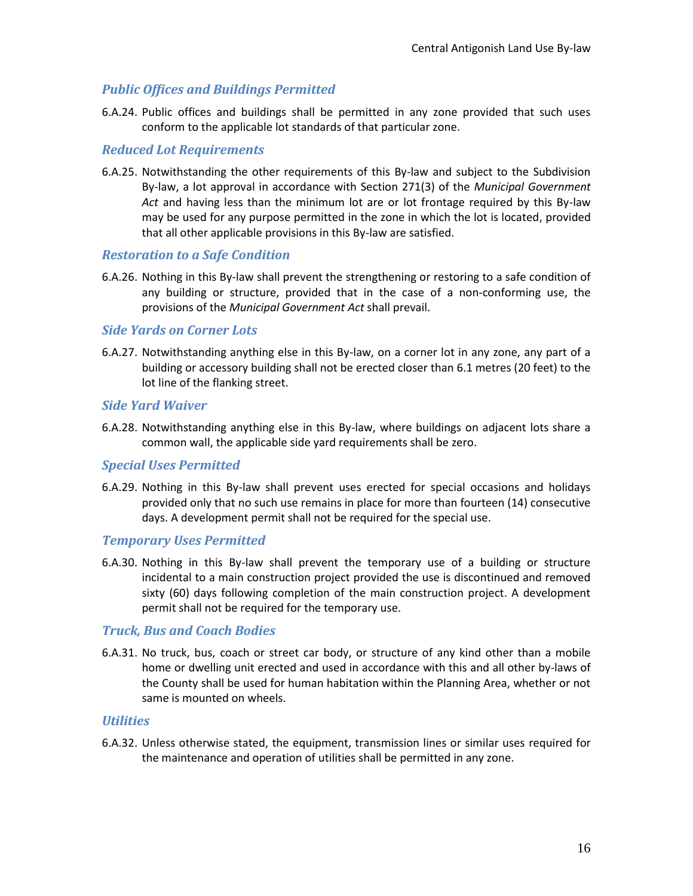## <span id="page-15-0"></span>*Public Offices and Buildings Permitted*

6.A.24. Public offices and buildings shall be permitted in any zone provided that such uses conform to the applicable lot standards of that particular zone.

#### <span id="page-15-1"></span>*Reduced Lot Requirements*

6.A.25. Notwithstanding the other requirements of this By-law and subject to the Subdivision By-law, a lot approval in accordance with Section 271(3) of the *Municipal Government Act* and having less than the minimum lot are or lot frontage required by this By-law may be used for any purpose permitted in the zone in which the lot is located, provided that all other applicable provisions in this By-law are satisfied.

#### <span id="page-15-2"></span>*Restoration to a Safe Condition*

6.A.26. Nothing in this By-law shall prevent the strengthening or restoring to a safe condition of any building or structure, provided that in the case of a non-conforming use, the provisions of the *Municipal Government Act* shall prevail.

#### <span id="page-15-3"></span>*Side Yards on Corner Lots*

6.A.27. Notwithstanding anything else in this By-law, on a corner lot in any zone, any part of a building or accessory building shall not be erected closer than 6.1 metres (20 feet) to the lot line of the flanking street.

#### <span id="page-15-4"></span>*Side Yard Waiver*

6.A.28. Notwithstanding anything else in this By-law, where buildings on adjacent lots share a common wall, the applicable side yard requirements shall be zero.

#### <span id="page-15-5"></span>*Special Uses Permitted*

6.A.29. Nothing in this By-law shall prevent uses erected for special occasions and holidays provided only that no such use remains in place for more than fourteen (14) consecutive days. A development permit shall not be required for the special use.

#### <span id="page-15-6"></span>*Temporary Uses Permitted*

6.A.30. Nothing in this By-law shall prevent the temporary use of a building or structure incidental to a main construction project provided the use is discontinued and removed sixty (60) days following completion of the main construction project. A development permit shall not be required for the temporary use.

### <span id="page-15-7"></span>*Truck, Bus and Coach Bodies*

6.A.31. No truck, bus, coach or street car body, or structure of any kind other than a mobile home or dwelling unit erected and used in accordance with this and all other by-laws of the County shall be used for human habitation within the Planning Area, whether or not same is mounted on wheels.

#### <span id="page-15-8"></span>*Utilities*

6.A.32. Unless otherwise stated, the equipment, transmission lines or similar uses required for the maintenance and operation of utilities shall be permitted in any zone.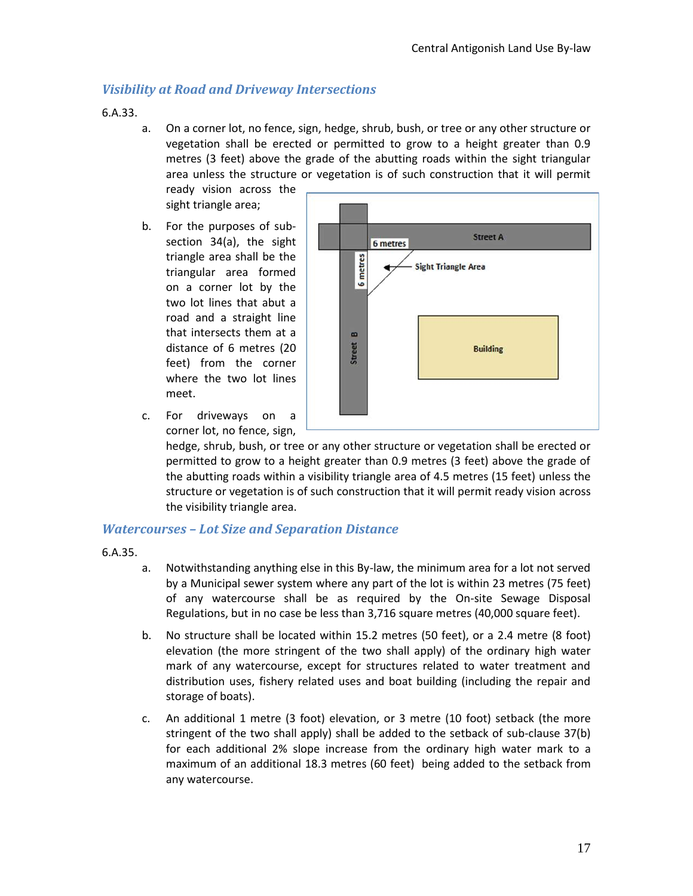### <span id="page-16-0"></span>*Visibility at Road and Driveway Intersections*

6.A.33.

a. On a corner lot, no fence, sign, hedge, shrub, bush, or tree or any other structure or vegetation shall be erected or permitted to grow to a height greater than 0.9 metres (3 feet) above the grade of the abutting roads within the sight triangular area unless the structure or vegetation is of such construction that it will permit

ready vision across the sight triangle area;

b. For the purposes of subsection 34(a), the sight triangle area shall be the triangular area formed on a corner lot by the two lot lines that abut a road and a straight line that intersects them at a distance of 6 metres (20 feet) from the corner where the two lot lines meet.



c. For driveways on a corner lot, no fence, sign,

> hedge, shrub, bush, or tree or any other structure or vegetation shall be erected or permitted to grow to a height greater than 0.9 metres (3 feet) above the grade of the abutting roads within a visibility triangle area of 4.5 metres (15 feet) unless the structure or vegetation is of such construction that it will permit ready vision across the visibility triangle area.

#### <span id="page-16-1"></span>*Watercourses – Lot Size and Separation Distance*

- 6.A.35.
- a. Notwithstanding anything else in this By-law, the minimum area for a lot not served by a Municipal sewer system where any part of the lot is within 23 metres (75 feet) of any watercourse shall be as required by the On-site Sewage Disposal Regulations, but in no case be less than 3,716 square metres (40,000 square feet).
- b. No structure shall be located within 15.2 metres (50 feet), or a 2.4 metre (8 foot) elevation (the more stringent of the two shall apply) of the ordinary high water mark of any watercourse, except for structures related to water treatment and distribution uses, fishery related uses and boat building (including the repair and storage of boats).
- c. An additional 1 metre (3 foot) elevation, or 3 metre (10 foot) setback (the more stringent of the two shall apply) shall be added to the setback of sub-clause 37(b) for each additional 2% slope increase from the ordinary high water mark to a maximum of an additional 18.3 metres (60 feet) being added to the setback from any watercourse.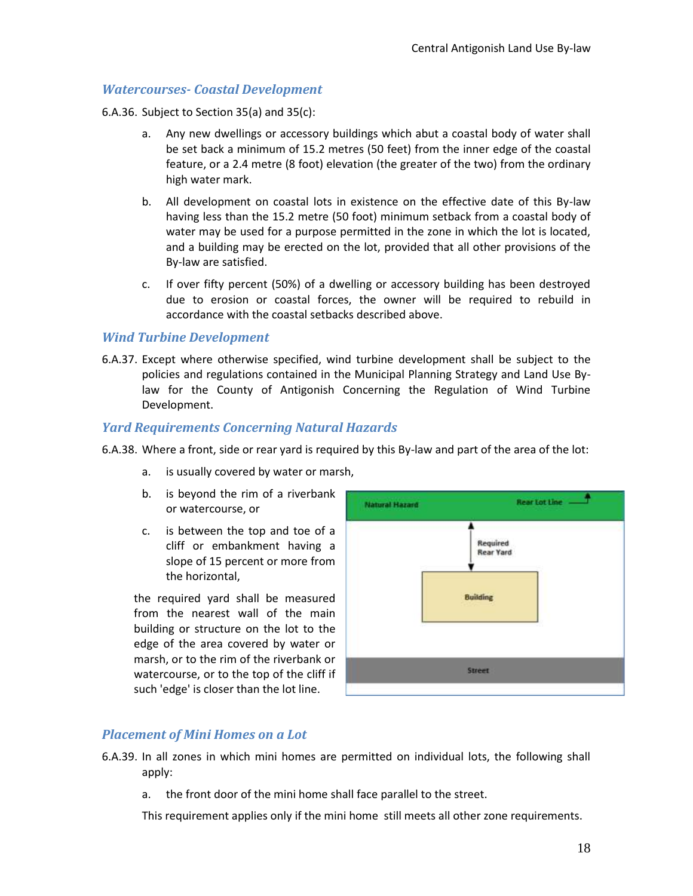#### <span id="page-17-0"></span>*Watercourses- Coastal Development*

6.A.36. Subject to Section 35(a) and 35(c):

- a. Any new dwellings or accessory buildings which abut a coastal body of water shall be set back a minimum of 15.2 metres (50 feet) from the inner edge of the coastal feature, or a 2.4 metre (8 foot) elevation (the greater of the two) from the ordinary high water mark.
- b. All development on coastal lots in existence on the effective date of this By-law having less than the 15.2 metre (50 foot) minimum setback from a coastal body of water may be used for a purpose permitted in the zone in which the lot is located, and a building may be erected on the lot, provided that all other provisions of the By-law are satisfied.
- c. If over fifty percent (50%) of a dwelling or accessory building has been destroyed due to erosion or coastal forces, the owner will be required to rebuild in accordance with the coastal setbacks described above.

#### <span id="page-17-1"></span>*Wind Turbine Development*

6.A.37. Except where otherwise specified, wind turbine development shall be subject to the policies and regulations contained in the Municipal Planning Strategy and Land Use Bylaw for the County of Antigonish Concerning the Regulation of Wind Turbine Development.

#### <span id="page-17-2"></span>*Yard Requirements Concerning Natural Hazards*

- 6.A.38. Where a front, side or rear yard is required by this By-law and part of the area of the lot:
	- a. is usually covered by water or marsh,
	- b. is beyond the rim of a riverbank or watercourse, or
	- c. is between the top and toe of a cliff or embankment having a slope of 15 percent or more from the horizontal,

the required yard shall be measured from the nearest wall of the main building or structure on the lot to the edge of the area covered by water or marsh, or to the rim of the riverbank or watercourse, or to the top of the cliff if such 'edge' is closer than the lot line.



### <span id="page-17-3"></span>*Placement of Mini Homes on a Lot*

- 6.A.39. In all zones in which mini homes are permitted on individual lots, the following shall apply:
	- a. the front door of the mini home shall face parallel to the street.

This requirement applies only if the mini home still meets all other zone requirements.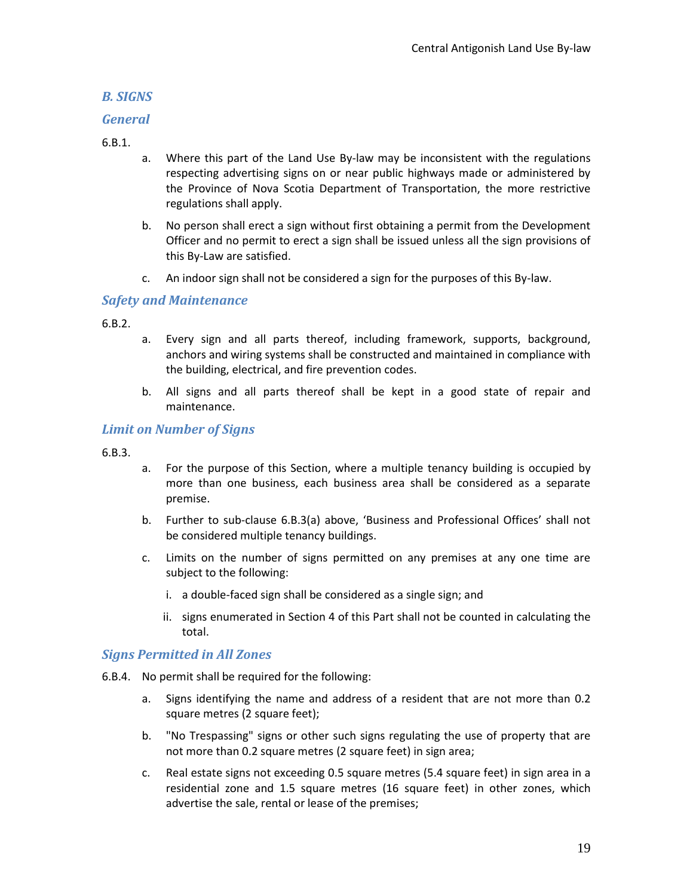## <span id="page-18-0"></span>*B. SIGNS*

### <span id="page-18-1"></span>*General*

#### 6.B.1.

- a. Where this part of the Land Use By-law may be inconsistent with the regulations respecting advertising signs on or near public highways made or administered by the Province of Nova Scotia Department of Transportation, the more restrictive regulations shall apply.
- b. No person shall erect a sign without first obtaining a permit from the Development Officer and no permit to erect a sign shall be issued unless all the sign provisions of this By-Law are satisfied.
- c. An indoor sign shall not be considered a sign for the purposes of this By-law.

## <span id="page-18-2"></span>*Safety and Maintenance*

6.B.2.

- a. Every sign and all parts thereof, including framework, supports, background, anchors and wiring systems shall be constructed and maintained in compliance with the building, electrical, and fire prevention codes.
- b. All signs and all parts thereof shall be kept in a good state of repair and maintenance.

### <span id="page-18-3"></span>*Limit on Number of Signs*

6.B.3.

- a. For the purpose of this Section, where a multiple tenancy building is occupied by more than one business, each business area shall be considered as a separate premise.
- b. Further to sub-clause 6.B.3(a) above, 'Business and Professional Offices' shall not be considered multiple tenancy buildings.
- c. Limits on the number of signs permitted on any premises at any one time are subject to the following:
	- i. a double-faced sign shall be considered as a single sign; and
	- ii. signs enumerated in Section 4 of this Part shall not be counted in calculating the total.

### <span id="page-18-4"></span>*Signs Permitted in All Zones*

- 6.B.4. No permit shall be required for the following:
	- a. Signs identifying the name and address of a resident that are not more than 0.2 square metres (2 square feet);
	- b. "No Trespassing" signs or other such signs regulating the use of property that are not more than 0.2 square metres (2 square feet) in sign area;
	- c. Real estate signs not exceeding 0.5 square metres (5.4 square feet) in sign area in a residential zone and 1.5 square metres (16 square feet) in other zones, which advertise the sale, rental or lease of the premises;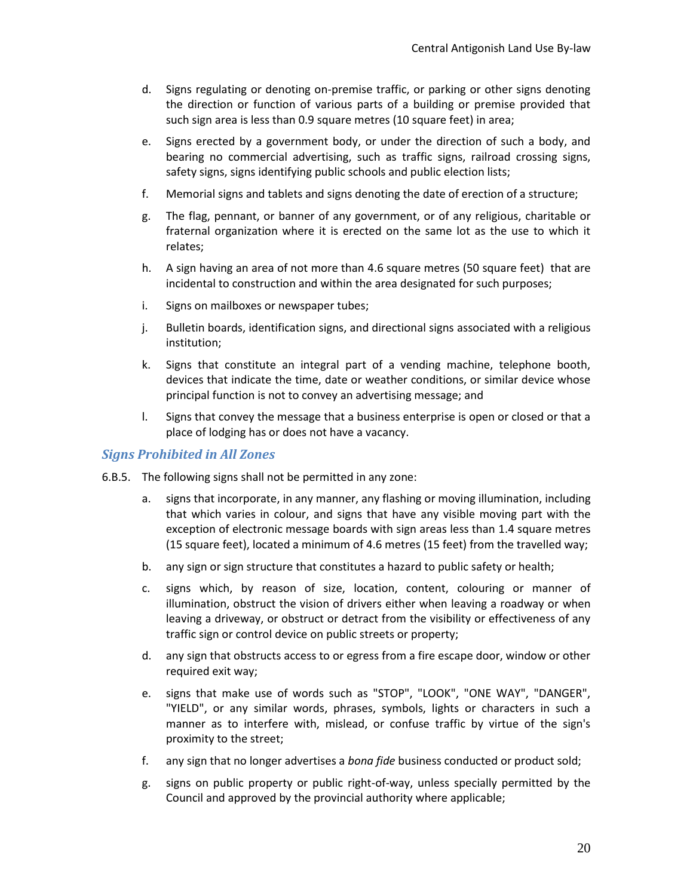- d. Signs regulating or denoting on-premise traffic, or parking or other signs denoting the direction or function of various parts of a building or premise provided that such sign area is less than 0.9 square metres (10 square feet) in area;
- e. Signs erected by a government body, or under the direction of such a body, and bearing no commercial advertising, such as traffic signs, railroad crossing signs, safety signs, signs identifying public schools and public election lists;
- f. Memorial signs and tablets and signs denoting the date of erection of a structure;
- g. The flag, pennant, or banner of any government, or of any religious, charitable or fraternal organization where it is erected on the same lot as the use to which it relates;
- h. A sign having an area of not more than 4.6 square metres (50 square feet) that are incidental to construction and within the area designated for such purposes;
- i. Signs on mailboxes or newspaper tubes;
- j. Bulletin boards, identification signs, and directional signs associated with a religious institution;
- k. Signs that constitute an integral part of a vending machine, telephone booth, devices that indicate the time, date or weather conditions, or similar device whose principal function is not to convey an advertising message; and
- l. Signs that convey the message that a business enterprise is open or closed or that a place of lodging has or does not have a vacancy.

#### <span id="page-19-0"></span>*Signs Prohibited in All Zones*

- 6.B.5. The following signs shall not be permitted in any zone:
	- a. signs that incorporate, in any manner, any flashing or moving illumination, including that which varies in colour, and signs that have any visible moving part with the exception of electronic message boards with sign areas less than 1.4 square metres (15 square feet), located a minimum of 4.6 metres (15 feet) from the travelled way;
	- b. any sign or sign structure that constitutes a hazard to public safety or health;
	- c. signs which, by reason of size, location, content, colouring or manner of illumination, obstruct the vision of drivers either when leaving a roadway or when leaving a driveway, or obstruct or detract from the visibility or effectiveness of any traffic sign or control device on public streets or property;
	- d. any sign that obstructs access to or egress from a fire escape door, window or other required exit way;
	- e. signs that make use of words such as "STOP", "LOOK", "ONE WAY", "DANGER", "YIELD", or any similar words, phrases, symbols, lights or characters in such a manner as to interfere with, mislead, or confuse traffic by virtue of the sign's proximity to the street;
	- f. any sign that no longer advertises a *bona fide* business conducted or product sold;
	- g. signs on public property or public right-of-way, unless specially permitted by the Council and approved by the provincial authority where applicable;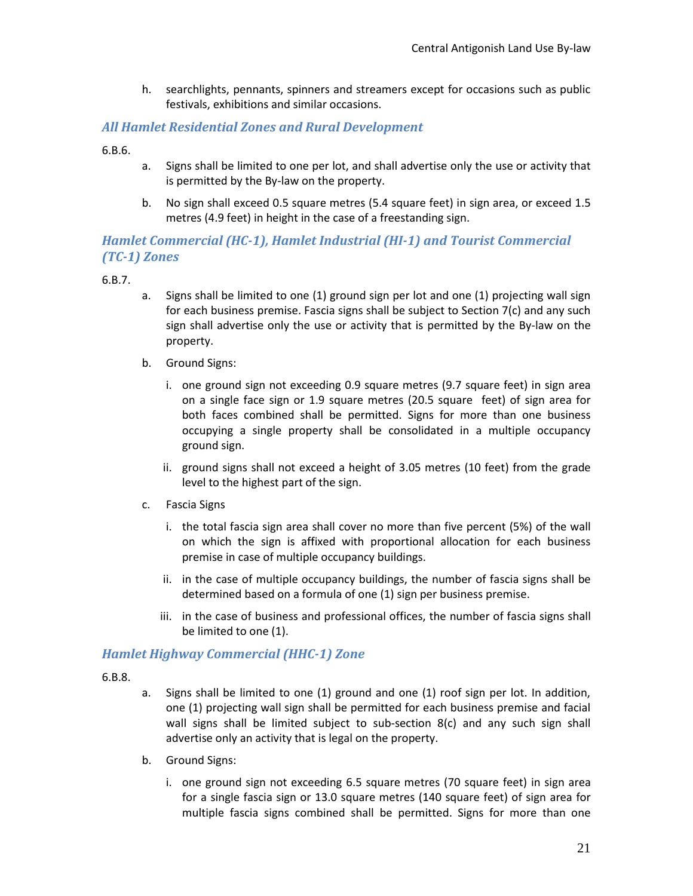h. searchlights, pennants, spinners and streamers except for occasions such as public festivals, exhibitions and similar occasions.

### <span id="page-20-0"></span>*All Hamlet Residential Zones and Rural Development*

6.B.6.

- a. Signs shall be limited to one per lot, and shall advertise only the use or activity that is permitted by the By-law on the property.
- b. No sign shall exceed 0.5 square metres (5.4 square feet) in sign area, or exceed 1.5 metres (4.9 feet) in height in the case of a freestanding sign.

## <span id="page-20-1"></span>*Hamlet Commercial (HC-1), Hamlet Industrial (HI-1) and Tourist Commercial (TC-1) Zones*

6.B.7.

- a. Signs shall be limited to one (1) ground sign per lot and one (1) projecting wall sign for each business premise. Fascia signs shall be subject to Section 7(c) and any such sign shall advertise only the use or activity that is permitted by the By-law on the property.
- b. Ground Signs:
	- i. one ground sign not exceeding 0.9 square metres (9.7 square feet) in sign area on a single face sign or 1.9 square metres (20.5 square feet) of sign area for both faces combined shall be permitted. Signs for more than one business occupying a single property shall be consolidated in a multiple occupancy ground sign.
	- ii. ground signs shall not exceed a height of 3.05 metres (10 feet) from the grade level to the highest part of the sign.
- c. Fascia Signs
	- i. the total fascia sign area shall cover no more than five percent (5%) of the wall on which the sign is affixed with proportional allocation for each business premise in case of multiple occupancy buildings.
	- ii. in the case of multiple occupancy buildings, the number of fascia signs shall be determined based on a formula of one (1) sign per business premise.
	- iii. in the case of business and professional offices, the number of fascia signs shall be limited to one (1).

### <span id="page-20-2"></span>*Hamlet Highway Commercial (HHC-1) Zone*

- 6.B.8.
- a. Signs shall be limited to one (1) ground and one (1) roof sign per lot. In addition, one (1) projecting wall sign shall be permitted for each business premise and facial wall signs shall be limited subject to sub-section 8(c) and any such sign shall advertise only an activity that is legal on the property.
- b. Ground Signs:
	- i. one ground sign not exceeding 6.5 square metres (70 square feet) in sign area for a single fascia sign or 13.0 square metres (140 square feet) of sign area for multiple fascia signs combined shall be permitted. Signs for more than one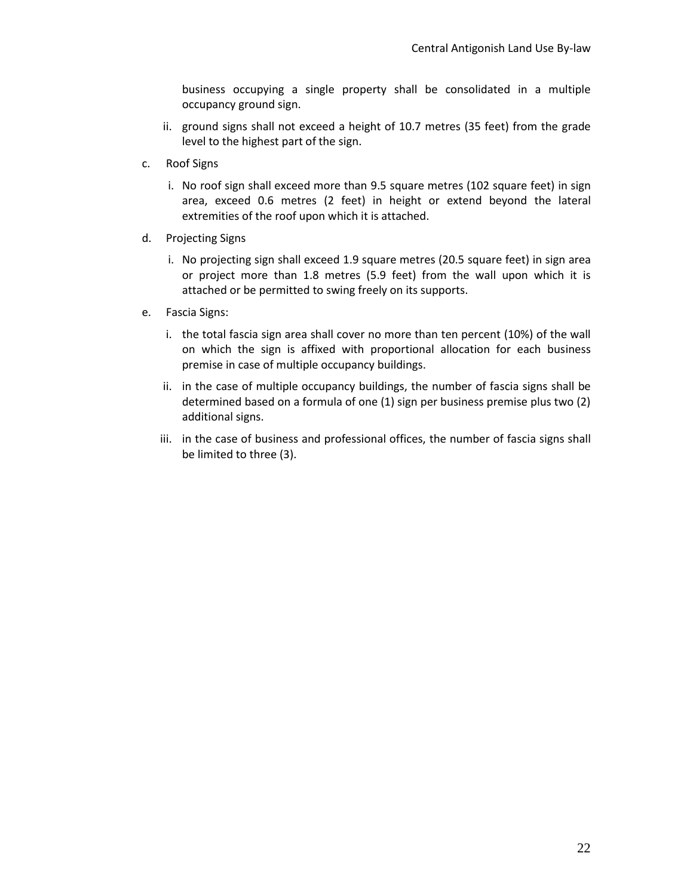business occupying a single property shall be consolidated in a multiple occupancy ground sign.

- ii. ground signs shall not exceed a height of 10.7 metres (35 feet) from the grade level to the highest part of the sign.
- c. Roof Signs
	- i. No roof sign shall exceed more than 9.5 square metres (102 square feet) in sign area, exceed 0.6 metres (2 feet) in height or extend beyond the lateral extremities of the roof upon which it is attached.
- d. Projecting Signs
	- i. No projecting sign shall exceed 1.9 square metres (20.5 square feet) in sign area or project more than 1.8 metres (5.9 feet) from the wall upon which it is attached or be permitted to swing freely on its supports.
- e. Fascia Signs:
	- i. the total fascia sign area shall cover no more than ten percent (10%) of the wall on which the sign is affixed with proportional allocation for each business premise in case of multiple occupancy buildings.
	- ii. in the case of multiple occupancy buildings, the number of fascia signs shall be determined based on a formula of one (1) sign per business premise plus two (2) additional signs.
	- iii. in the case of business and professional offices, the number of fascia signs shall be limited to three (3).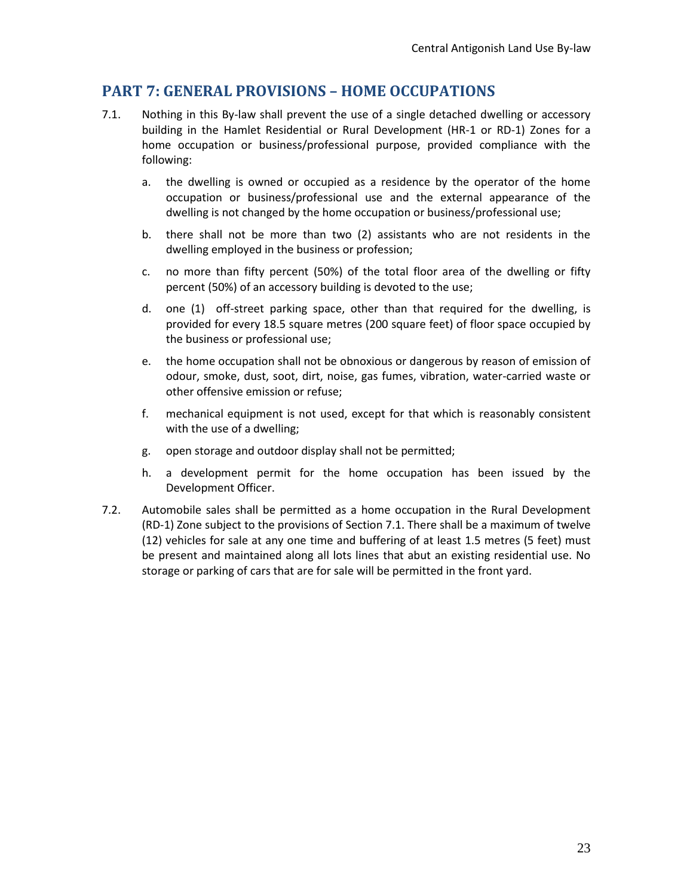## <span id="page-22-0"></span>**PART 7: GENERAL PROVISIONS – HOME OCCUPATIONS**

- 7.1. Nothing in this By-law shall prevent the use of a single detached dwelling or accessory building in the Hamlet Residential or Rural Development (HR-1 or RD-1) Zones for a home occupation or business/professional purpose, provided compliance with the following:
	- a. the dwelling is owned or occupied as a residence by the operator of the home occupation or business/professional use and the external appearance of the dwelling is not changed by the home occupation or business/professional use;
	- b. there shall not be more than two (2) assistants who are not residents in the dwelling employed in the business or profession;
	- c. no more than fifty percent (50%) of the total floor area of the dwelling or fifty percent (50%) of an accessory building is devoted to the use;
	- d. one (1) off-street parking space, other than that required for the dwelling, is provided for every 18.5 square metres (200 square feet) of floor space occupied by the business or professional use;
	- e. the home occupation shall not be obnoxious or dangerous by reason of emission of odour, smoke, dust, soot, dirt, noise, gas fumes, vibration, water-carried waste or other offensive emission or refuse;
	- f. mechanical equipment is not used, except for that which is reasonably consistent with the use of a dwelling;
	- g. open storage and outdoor display shall not be permitted;
	- h. a development permit for the home occupation has been issued by the Development Officer.
- 7.2. Automobile sales shall be permitted as a home occupation in the Rural Development (RD-1) Zone subject to the provisions of Section 7.1. There shall be a maximum of twelve (12) vehicles for sale at any one time and buffering of at least 1.5 metres (5 feet) must be present and maintained along all lots lines that abut an existing residential use. No storage or parking of cars that are for sale will be permitted in the front yard.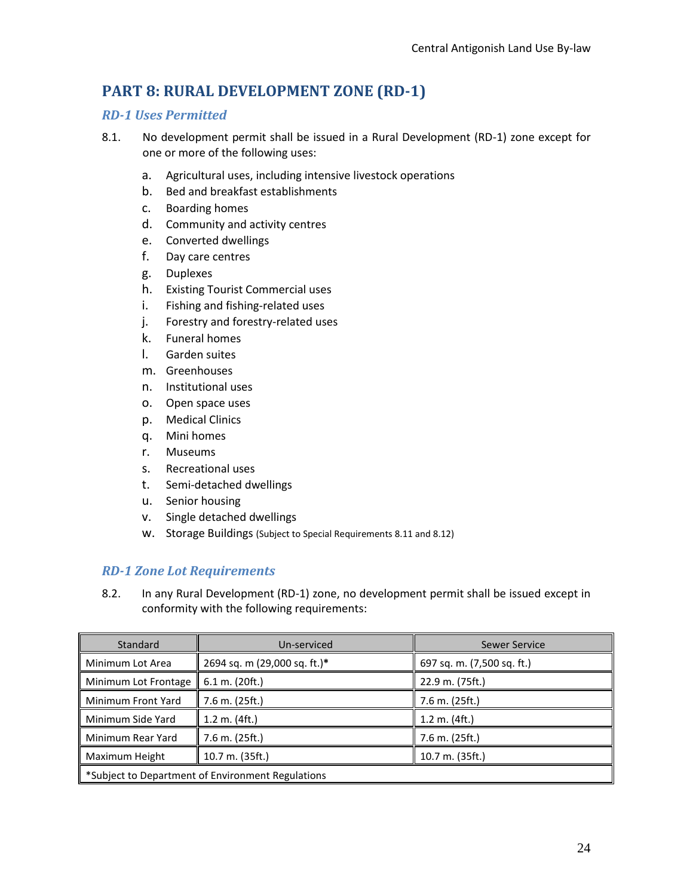# <span id="page-23-0"></span>**PART 8: RURAL DEVELOPMENT ZONE (RD-1)**

## <span id="page-23-1"></span>*RD-1 Uses Permitted*

- 8.1. No development permit shall be issued in a Rural Development (RD-1) zone except for one or more of the following uses:
	- a. Agricultural uses, including intensive livestock operations
	- b. Bed and breakfast establishments
	- c. Boarding homes
	- d. Community and activity centres
	- e. Converted dwellings
	- f. Day care centres
	- g. Duplexes
	- h. Existing Tourist Commercial uses
	- i. Fishing and fishing-related uses
	- j. Forestry and forestry-related uses
	- k. Funeral homes
	- l. Garden suites
	- m. Greenhouses
	- n. Institutional uses
	- o. Open space uses
	- p. Medical Clinics
	- q. Mini homes
	- r. Museums
	- s. Recreational uses
	- t. Semi-detached dwellings
	- u. Senior housing
	- v. Single detached dwellings
	- w. Storage Buildings (Subject to Special Requirements 8.11 and 8.12)

## <span id="page-23-2"></span>*RD-1 Zone Lot Requirements*

8.2. In any Rural Development (RD-1) zone, no development permit shall be issued except in conformity with the following requirements:

| Standard                                          | Un-serviced                  | Sewer Service              |
|---------------------------------------------------|------------------------------|----------------------------|
| Minimum Lot Area                                  | 2694 sq. m (29,000 sq. ft.)* | 697 sq. m. (7,500 sq. ft.) |
| Minimum Lot Frontage                              | $6.1$ m. (20ft.)             | 22.9 m. (75ft.)            |
| Minimum Front Yard                                | 7.6 m. (25ft.)               | 7.6 m. (25ft.)             |
| Minimum Side Yard                                 | $1.2$ m. $(4ft.)$            | 1.2 m. (4 ft.)             |
| Minimum Rear Yard                                 | 7.6 m. (25ft.)               | 7.6 m. (25ft.)             |
| Maximum Height                                    | 10.7 m. (35ft.)              | 10.7 m. (35ft.)            |
| *Subject to Department of Environment Regulations |                              |                            |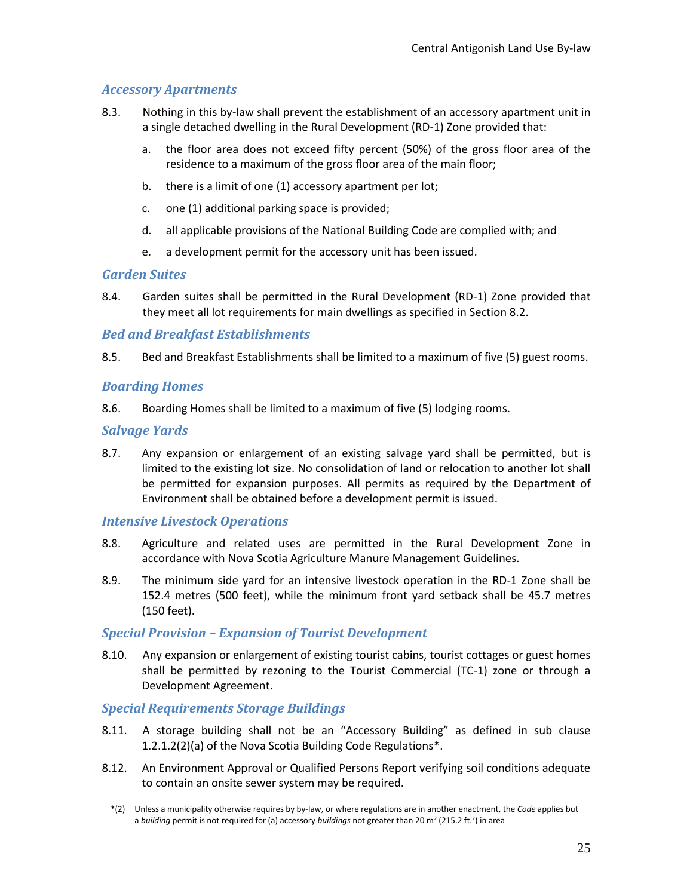## <span id="page-24-0"></span>*Accessory Apartments*

- 8.3. Nothing in this by-law shall prevent the establishment of an accessory apartment unit in a single detached dwelling in the Rural Development (RD-1) Zone provided that:
	- a. the floor area does not exceed fifty percent (50%) of the gross floor area of the residence to a maximum of the gross floor area of the main floor;
	- b. there is a limit of one (1) accessory apartment per lot;
	- c. one (1) additional parking space is provided;
	- d. all applicable provisions of the National Building Code are complied with; and
	- e. a development permit for the accessory unit has been issued.

### <span id="page-24-1"></span>*Garden Suites*

8.4. Garden suites shall be permitted in the Rural Development (RD-1) Zone provided that they meet all lot requirements for main dwellings as specified in Section 8.2.

### <span id="page-24-2"></span>*Bed and Breakfast Establishments*

<span id="page-24-3"></span>8.5. Bed and Breakfast Establishments shall be limited to a maximum of five (5) guest rooms.

## *Boarding Homes*

8.6. Boarding Homes shall be limited to a maximum of five (5) lodging rooms.

### <span id="page-24-4"></span>*Salvage Yards*

8.7. Any expansion or enlargement of an existing salvage yard shall be permitted, but is limited to the existing lot size. No consolidation of land or relocation to another lot shall be permitted for expansion purposes. All permits as required by the Department of Environment shall be obtained before a development permit is issued.

### <span id="page-24-5"></span>*Intensive Livestock Operations*

- 8.8. Agriculture and related uses are permitted in the Rural Development Zone in accordance with Nova Scotia Agriculture Manure Management Guidelines.
- 8.9. The minimum side yard for an intensive livestock operation in the RD-1 Zone shall be 152.4 metres (500 feet), while the minimum front yard setback shall be 45.7 metres (150 feet).

### <span id="page-24-6"></span>*Special Provision – Expansion of Tourist Development*

8.10. Any expansion or enlargement of existing tourist cabins, tourist cottages or guest homes shall be permitted by rezoning to the Tourist Commercial (TC-1) zone or through a Development Agreement.

### <span id="page-24-7"></span>*Special Requirements Storage Buildings*

- 8.11. A storage building shall not be an "Accessory Building" as defined in sub clause 1.2.1.2(2)(a) of the Nova Scotia Building Code Regulations\*.
- 8.12. An Environment Approval or Qualified Persons Report verifying soil conditions adequate to contain an onsite sewer system may be required.
- \*(2) Unless a municipality otherwise requires by by-law, or where regulations are in another enactment, the *Code* applies but a *building* permit is not required for (a) accessory *buildings* not greater than 20 m<sup>2</sup> (215.2 ft.<sup>2</sup>) in area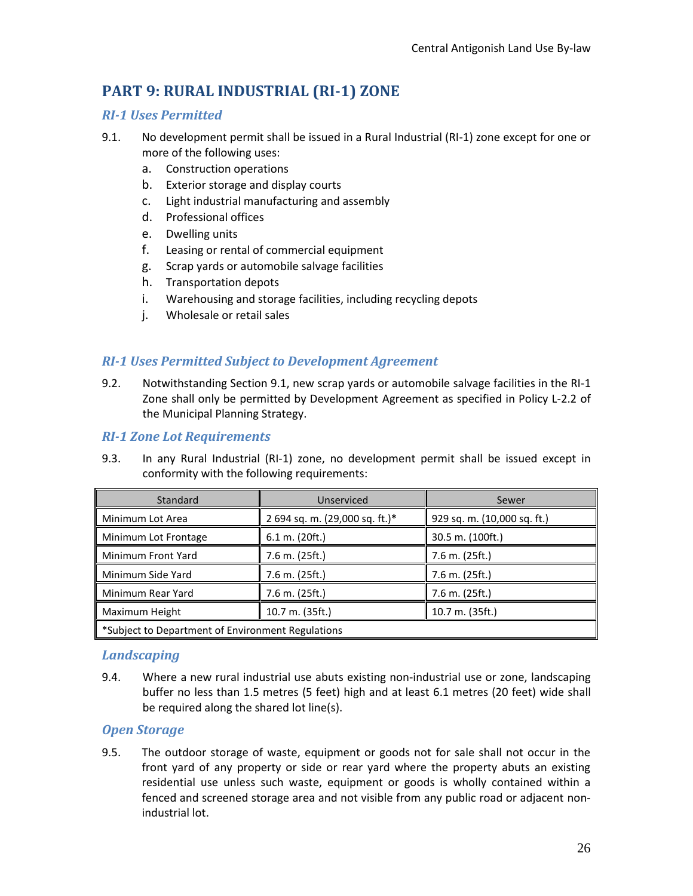# <span id="page-25-0"></span>**PART 9: RURAL INDUSTRIAL (RI-1) ZONE**

## <span id="page-25-1"></span>*RI-1 Uses Permitted*

- 9.1. No development permit shall be issued in a Rural Industrial (RI-1) zone except for one or more of the following uses:
	- a. Construction operations
	- b. Exterior storage and display courts
	- c. Light industrial manufacturing and assembly
	- d. Professional offices
	- e. Dwelling units
	- f. Leasing or rental of commercial equipment
	- g. Scrap yards or automobile salvage facilities
	- h. Transportation depots
	- i. Warehousing and storage facilities, including recycling depots
	- j. Wholesale or retail sales

## <span id="page-25-2"></span>*RI-1 Uses Permitted Subject to Development Agreement*

9.2. Notwithstanding Section 9.1, new scrap yards or automobile salvage facilities in the RI-1 Zone shall only be permitted by Development Agreement as specified in Policy L-2.2 of the Municipal Planning Strategy.

## <span id="page-25-3"></span>*RI-1 Zone Lot Requirements*

9.3. In any Rural Industrial (RI-1) zone, no development permit shall be issued except in conformity with the following requirements:

| Standard                                          | Unserviced                     | Sewer                       |
|---------------------------------------------------|--------------------------------|-----------------------------|
| Minimum Lot Area                                  | 2 694 sq. m. (29,000 sq. ft.)* | 929 sq. m. (10,000 sq. ft.) |
| Minimum Lot Frontage                              | 6.1 m. (20 ft.)                | 30.5 m. (100ft.)            |
| Minimum Front Yard                                | 7.6 m. (25ft.)                 | 7.6 m. (25ft.)              |
| Minimum Side Yard                                 | 7.6 m. (25ft.)                 | 7.6 m. (25ft.)              |
| Minimum Rear Yard                                 | 7.6 m. (25ft.)                 | 7.6 m. (25ft.)              |
| Maximum Height                                    | 10.7 m. (35ft.)                | 10.7 m. (35ft.)             |
| *Subject to Department of Environment Regulations |                                |                             |

### <span id="page-25-4"></span>*Landscaping*

9.4. Where a new rural industrial use abuts existing non-industrial use or zone, landscaping buffer no less than 1.5 metres (5 feet) high and at least 6.1 metres (20 feet) wide shall be required along the shared lot line(s).

### <span id="page-25-5"></span>*Open Storage*

9.5. The outdoor storage of waste, equipment or goods not for sale shall not occur in the front yard of any property or side or rear yard where the property abuts an existing residential use unless such waste, equipment or goods is wholly contained within a fenced and screened storage area and not visible from any public road or adjacent nonindustrial lot.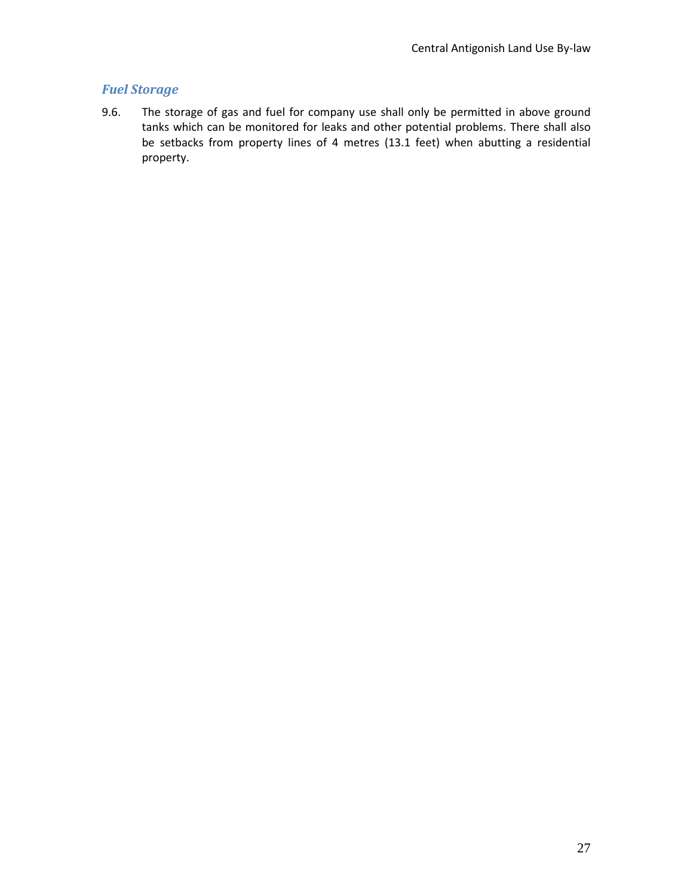## <span id="page-26-0"></span>*Fuel Storage*

9.6. The storage of gas and fuel for company use shall only be permitted in above ground tanks which can be monitored for leaks and other potential problems. There shall also be setbacks from property lines of 4 metres (13.1 feet) when abutting a residential property.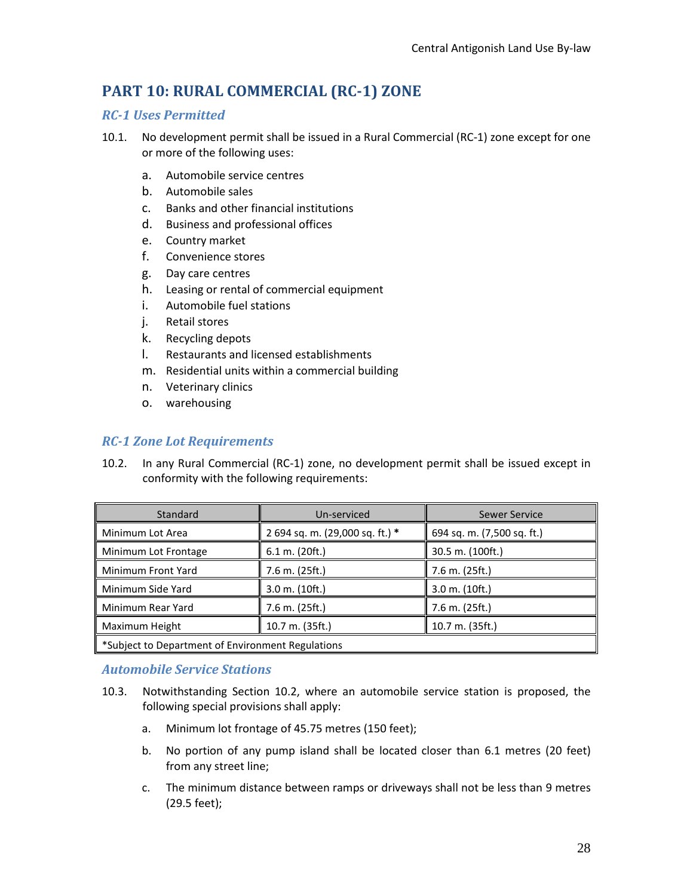# <span id="page-27-0"></span>**PART 10: RURAL COMMERCIAL (RC-1) ZONE**

## <span id="page-27-1"></span>*RC-1 Uses Permitted*

- 10.1. No development permit shall be issued in a Rural Commercial (RC-1) zone except for one or more of the following uses:
	- a. Automobile service centres
	- b. Automobile sales
	- c. Banks and other financial institutions
	- d. Business and professional offices
	- e. Country market
	- f. Convenience stores
	- g. Day care centres
	- h. Leasing or rental of commercial equipment
	- i. Automobile fuel stations
	- j. Retail stores
	- k. Recycling depots
	- l. Restaurants and licensed establishments
	- m. Residential units within a commercial building
	- n. Veterinary clinics
	- o. warehousing

## <span id="page-27-2"></span>*RC-1 Zone Lot Requirements*

10.2. In any Rural Commercial (RC-1) zone, no development permit shall be issued except in conformity with the following requirements:

| Standard                                          | Un-serviced                     | Sewer Service              |
|---------------------------------------------------|---------------------------------|----------------------------|
| Minimum Lot Area                                  | 2 694 sq. m. (29,000 sq. ft.) * | 694 sq. m. (7,500 sq. ft.) |
| Minimum Lot Frontage                              | 6.1 m. (20 ft.)                 | 30.5 m. (100ft.)           |
| Minimum Front Yard                                | 7.6 m. (25ft.)                  | 7.6 m. (25ft.)             |
| Minimum Side Yard                                 | 3.0 m. (10ft.)                  | $3.0$ m. $(10ft.)$         |
| Minimum Rear Yard                                 | 7.6 m. (25ft.)                  | 7.6 m. (25ft.)             |
| Maximum Height                                    | 10.7 m. (35ft.)                 | 10.7 m. (35ft.)            |
| *Subject to Department of Environment Regulations |                                 |                            |

### <span id="page-27-3"></span>*Automobile Service Stations*

- 10.3. Notwithstanding Section 10.2, where an automobile service station is proposed, the following special provisions shall apply:
	- a. Minimum lot frontage of 45.75 metres (150 feet);
	- b. No portion of any pump island shall be located closer than 6.1 metres (20 feet) from any street line;
	- c. The minimum distance between ramps or driveways shall not be less than 9 metres (29.5 feet);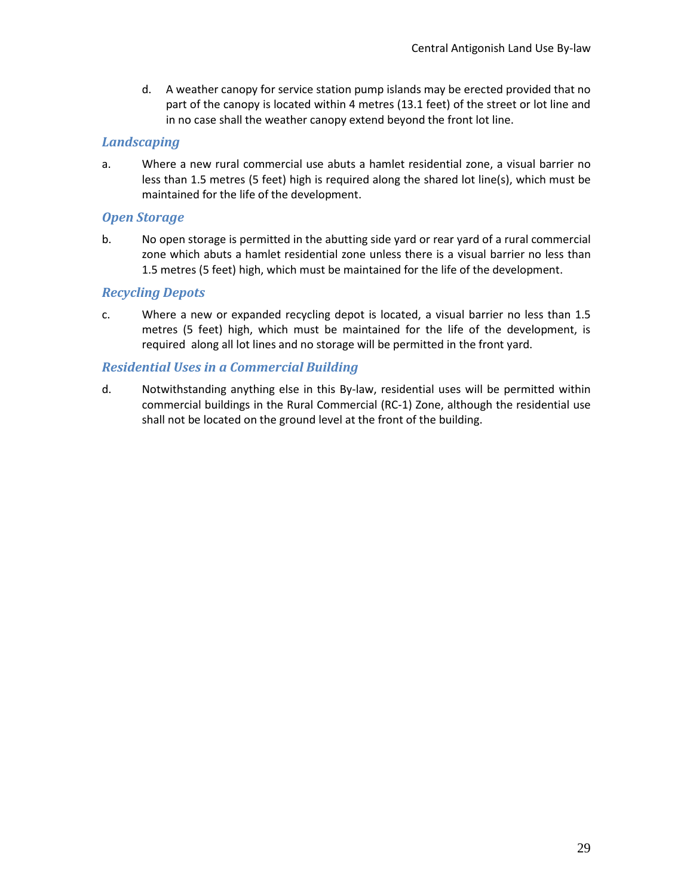d. A weather canopy for service station pump islands may be erected provided that no part of the canopy is located within 4 metres (13.1 feet) of the street or lot line and in no case shall the weather canopy extend beyond the front lot line.

## <span id="page-28-0"></span>*Landscaping*

a. Where a new rural commercial use abuts a hamlet residential zone, a visual barrier no less than 1.5 metres (5 feet) high is required along the shared lot line(s), which must be maintained for the life of the development.

### <span id="page-28-1"></span>*Open Storage*

b. No open storage is permitted in the abutting side yard or rear yard of a rural commercial zone which abuts a hamlet residential zone unless there is a visual barrier no less than 1.5 metres (5 feet) high, which must be maintained for the life of the development.

## <span id="page-28-2"></span>*Recycling Depots*

c. Where a new or expanded recycling depot is located, a visual barrier no less than 1.5 metres (5 feet) high, which must be maintained for the life of the development, is required along all lot lines and no storage will be permitted in the front yard.

## <span id="page-28-3"></span>*Residential Uses in a Commercial Building*

d. Notwithstanding anything else in this By-law, residential uses will be permitted within commercial buildings in the Rural Commercial (RC-1) Zone, although the residential use shall not be located on the ground level at the front of the building.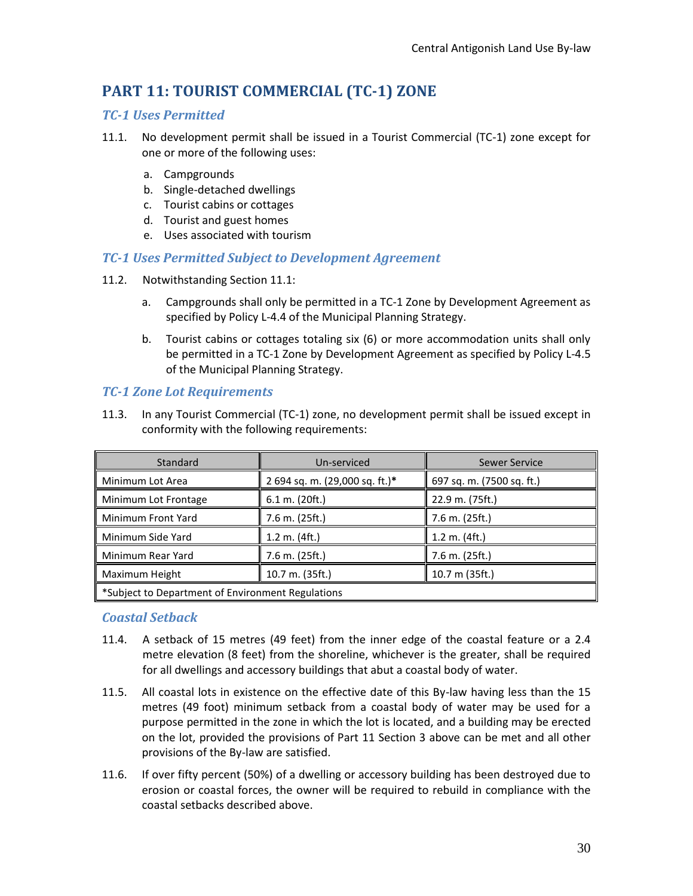# <span id="page-29-0"></span>**PART 11: TOURIST COMMERCIAL (TC-1) ZONE**

## <span id="page-29-1"></span>*TC-1 Uses Permitted*

- 11.1. No development permit shall be issued in a Tourist Commercial (TC-1) zone except for one or more of the following uses:
	- a. Campgrounds
	- b. Single-detached dwellings
	- c. Tourist cabins or cottages
	- d. Tourist and guest homes
	- e. Uses associated with tourism

## <span id="page-29-2"></span>*TC-1 Uses Permitted Subject to Development Agreement*

- 11.2. Notwithstanding Section 11.1:
	- a. Campgrounds shall only be permitted in a TC-1 Zone by Development Agreement as specified by Policy L-4.4 of the Municipal Planning Strategy.
	- b. Tourist cabins or cottages totaling six (6) or more accommodation units shall only be permitted in a TC-1 Zone by Development Agreement as specified by Policy L-4.5 of the Municipal Planning Strategy.

## <span id="page-29-3"></span>*TC-1 Zone Lot Requirements*

11.3. In any Tourist Commercial (TC-1) zone, no development permit shall be issued except in conformity with the following requirements:

| Standard                                         | Un-serviced                    | Sewer Service             |
|--------------------------------------------------|--------------------------------|---------------------------|
| Minimum Lot Area                                 | 2 694 sq. m. (29,000 sq. ft.)* | 697 sq. m. (7500 sq. ft.) |
| Minimum Lot Frontage                             | 6.1 m. (20 ft.)                | 22.9 m. (75ft.)           |
| Minimum Front Yard                               | 7.6 m. (25ft.)                 | 7.6 m. (25ft.)            |
| Minimum Side Yard                                | $1.2$ m. $(4ft.)$              | $1.2$ m. $(4ft.)$         |
| Minimum Rear Yard                                | 7.6 m. (25ft.)                 | 7.6 m. (25ft.)            |
| Maximum Height                                   | 10.7 m. (35ft.)                | 10.7 m (35ft.)            |
| Subject to Department of Environment Regulations |                                |                           |

### <span id="page-29-4"></span>*Coastal Setback*

- 11.4. A setback of 15 metres (49 feet) from the inner edge of the coastal feature or a 2.4 metre elevation (8 feet) from the shoreline, whichever is the greater, shall be required for all dwellings and accessory buildings that abut a coastal body of water.
- 11.5. All coastal lots in existence on the effective date of this By-law having less than the 15 metres (49 foot) minimum setback from a coastal body of water may be used for a purpose permitted in the zone in which the lot is located, and a building may be erected on the lot, provided the provisions of Part 11 Section 3 above can be met and all other provisions of the By-law are satisfied.
- 11.6. If over fifty percent (50%) of a dwelling or accessory building has been destroyed due to erosion or coastal forces, the owner will be required to rebuild in compliance with the coastal setbacks described above.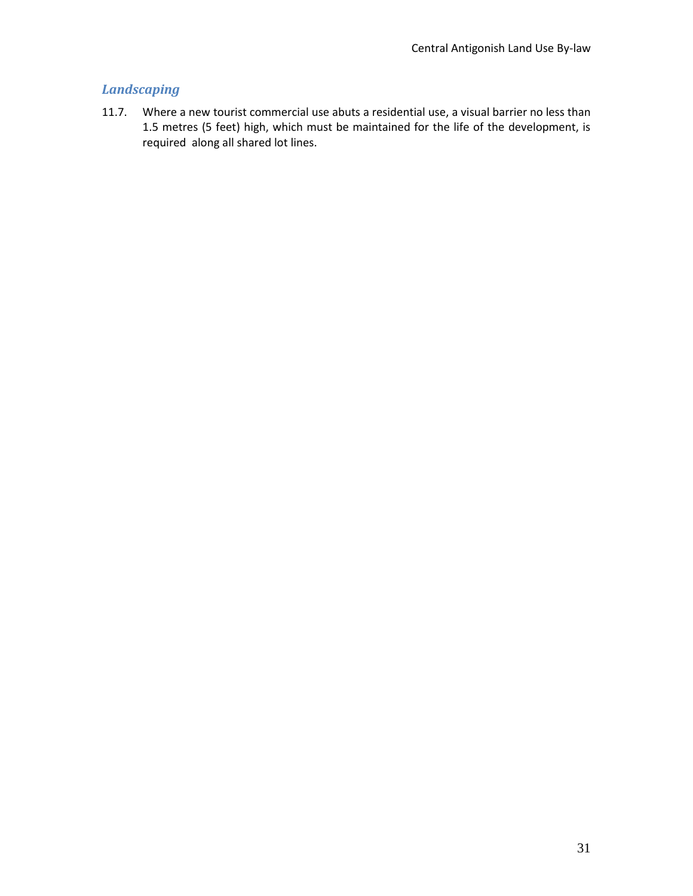## <span id="page-30-0"></span>*Landscaping*

11.7. Where a new tourist commercial use abuts a residential use, a visual barrier no less than 1.5 metres (5 feet) high, which must be maintained for the life of the development, is required along all shared lot lines.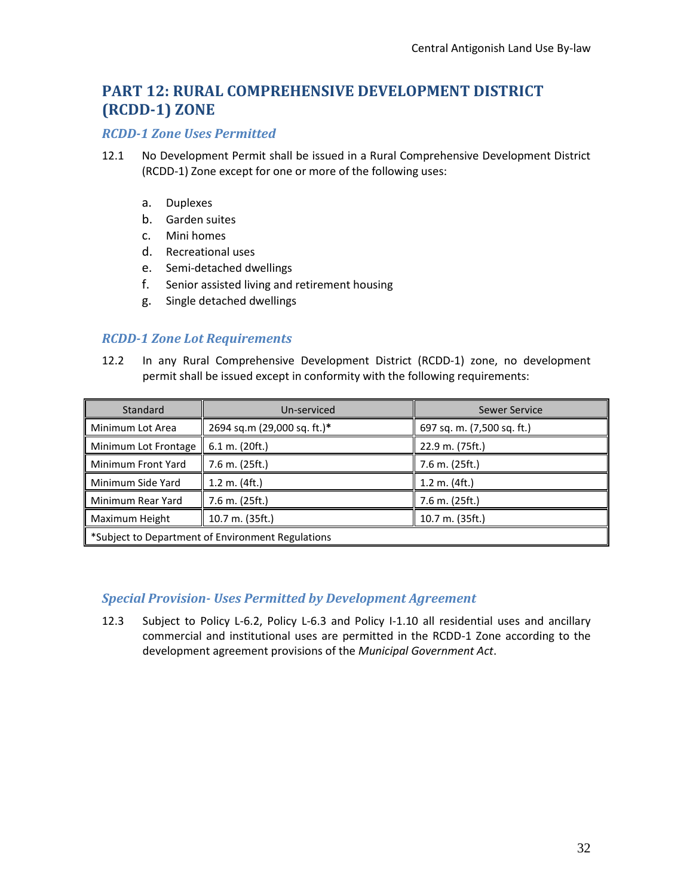# <span id="page-31-0"></span>**PART 12: RURAL COMPREHENSIVE DEVELOPMENT DISTRICT (RCDD-1) ZONE**

#### <span id="page-31-1"></span>*RCDD-1 Zone Uses Permitted*

- 12.1 No Development Permit shall be issued in a Rural Comprehensive Development District (RCDD-1) Zone except for one or more of the following uses:
	- a. Duplexes
	- b. Garden suites
	- c. Mini homes
	- d. Recreational uses
	- e. Semi-detached dwellings
	- f. Senior assisted living and retirement housing
	- g. Single detached dwellings

### <span id="page-31-2"></span>*RCDD-1 Zone Lot Requirements*

12.2 In any Rural Comprehensive Development District (RCDD-1) zone, no development permit shall be issued except in conformity with the following requirements:

| Standard                                          | Un-serviced                 | Sewer Service              |
|---------------------------------------------------|-----------------------------|----------------------------|
| Minimum Lot Area                                  | 2694 sq.m (29,000 sq. ft.)* | 697 sq. m. (7,500 sq. ft.) |
| Minimum Lot Frontage                              | $6.1$ m. (20ft.)            | 22.9 m. (75ft.)            |
| Minimum Front Yard                                | 7.6 m. (25ft.)              | 7.6 m. (25ft.)             |
| Minimum Side Yard                                 | $1.2$ m. $(4ft.)$           | $1.2$ m. $(4ft.)$          |
| Minimum Rear Yard                                 | 7.6 m. (25ft.)              | $7.6$ m. (25ft.)           |
| Maximum Height                                    | 10.7 m. (35ft.)             | $10.7$ m. (35ft.)          |
| *Subject to Department of Environment Regulations |                             |                            |

### <span id="page-31-3"></span>*Special Provision- Uses Permitted by Development Agreement*

12.3 Subject to Policy L-6.2, Policy L-6.3 and Policy I-1.10 all residential uses and ancillary commercial and institutional uses are permitted in the RCDD-1 Zone according to the development agreement provisions of the *Municipal Government Act*.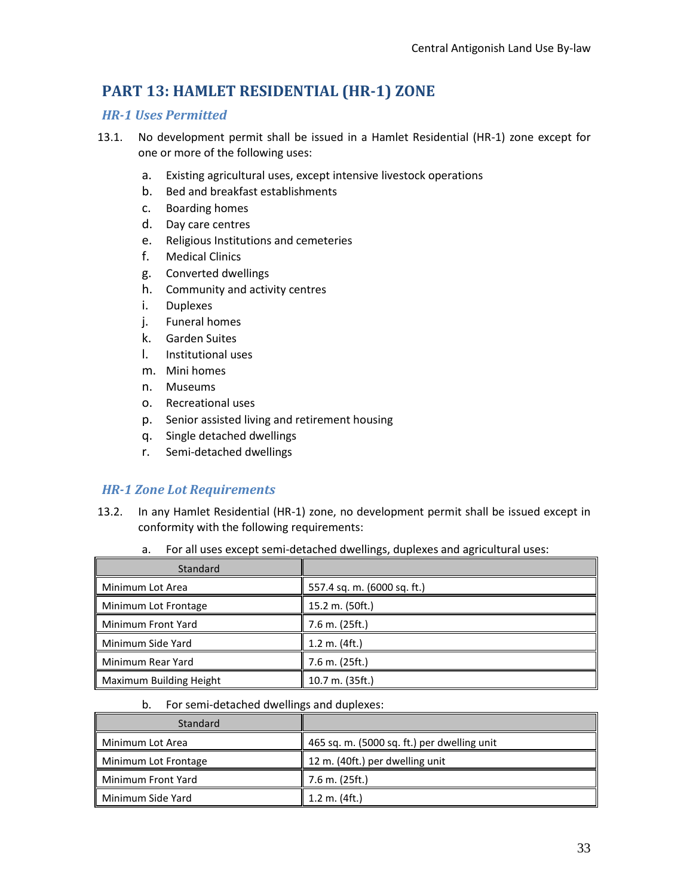# <span id="page-32-0"></span>**PART 13: HAMLET RESIDENTIAL (HR-1) ZONE**

## <span id="page-32-1"></span>*HR-1 Uses Permitted*

- 13.1. No development permit shall be issued in a Hamlet Residential (HR-1) zone except for one or more of the following uses:
	- a. Existing agricultural uses, except intensive livestock operations
	- b. Bed and breakfast establishments
	- c. Boarding homes
	- d. Day care centres
	- e. Religious Institutions and cemeteries
	- f. Medical Clinics
	- g. Converted dwellings
	- h. Community and activity centres
	- i. Duplexes
	- j. Funeral homes
	- k. Garden Suites
	- l. Institutional uses
	- m. Mini homes
	- n. Museums
	- o. Recreational uses
	- p. Senior assisted living and retirement housing
	- q. Single detached dwellings
	- r. Semi-detached dwellings

### <span id="page-32-2"></span>*HR-1 Zone Lot Requirements*

- 13.2. In any Hamlet Residential (HR-1) zone, no development permit shall be issued except in conformity with the following requirements:
	- a. For all uses except semi-detached dwellings, duplexes and agricultural uses:

| Standard                |                             |
|-------------------------|-----------------------------|
| Minimum Lot Area        | 557.4 sq. m. (6000 sq. ft.) |
| Minimum Lot Frontage    | 15.2 m. (50ft.)             |
| Minimum Front Yard      | 7.6 m. (25ft.)              |
| Minimum Side Yard       | 1.2 m. (4 ft.)              |
| Minimum Rear Yard       | 7.6 m. (25ft.)              |
| Maximum Building Height | 10.7 m. (35ft.)             |

b. For semi-detached dwellings and duplexes:

| Standard             |                                             |
|----------------------|---------------------------------------------|
| Minimum Lot Area     | 465 sq. m. (5000 sq. ft.) per dwelling unit |
| Minimum Lot Frontage | 12 m. (40ft.) per dwelling unit             |
| Minimum Front Yard   | $7.6$ m. (25ft.)                            |
| Minimum Side Yard    | $1.2 \text{ m.} (4 \text{ ft.})$            |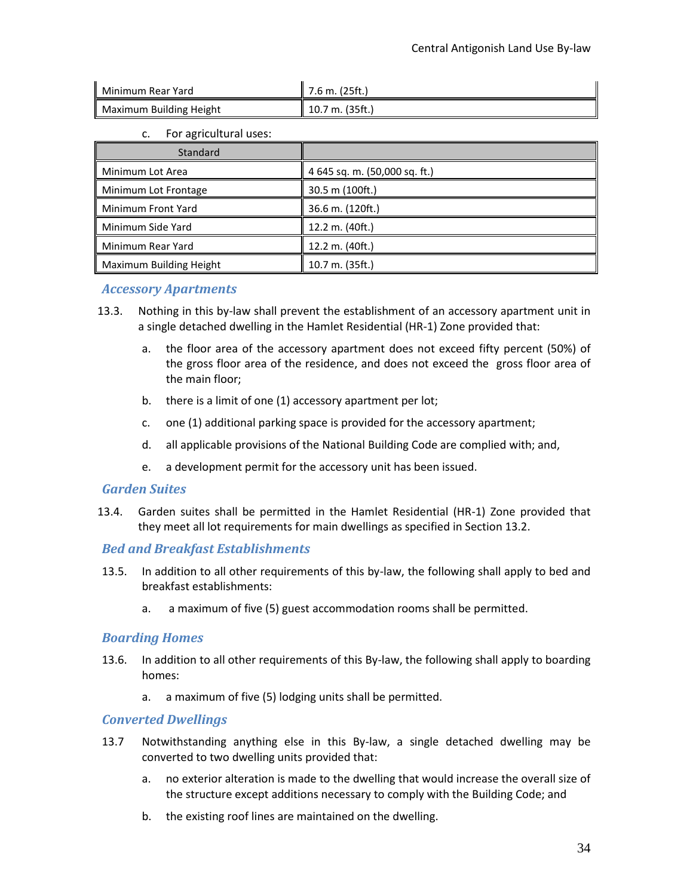| ll Minimum Rear Yard    | $\parallel$ 7.6 m. (25ft.) |
|-------------------------|----------------------------|
| Maximum Building Height | 10.7 m. (35ft.)            |

c. For agricultural uses:

| Standard                |                               |
|-------------------------|-------------------------------|
| Minimum Lot Area        | 4 645 sq. m. (50,000 sq. ft.) |
| Minimum Lot Frontage    | 30.5 m (100ft.)               |
| Minimum Front Yard      | 36.6 m. (120ft.)              |
| Minimum Side Yard       | 12.2 m. (40ft.)               |
| Minimum Rear Yard       | 12.2 m. (40ft.)               |
| Maximum Building Height | 10.7 m. (35ft.)               |

### <span id="page-33-0"></span>*Accessory Apartments*

- 13.3. Nothing in this by-law shall prevent the establishment of an accessory apartment unit in a single detached dwelling in the Hamlet Residential (HR-1) Zone provided that:
	- a. the floor area of the accessory apartment does not exceed fifty percent (50%) of the gross floor area of the residence, and does not exceed the gross floor area of the main floor;
	- b. there is a limit of one (1) accessory apartment per lot;
	- c. one (1) additional parking space is provided for the accessory apartment;
	- d. all applicable provisions of the National Building Code are complied with; and,
	- e. a development permit for the accessory unit has been issued.

#### <span id="page-33-1"></span>*Garden Suites*

13.4. Garden suites shall be permitted in the Hamlet Residential (HR-1) Zone provided that they meet all lot requirements for main dwellings as specified in Section 13.2.

#### <span id="page-33-2"></span>*Bed and Breakfast Establishments*

- 13.5. In addition to all other requirements of this by-law, the following shall apply to bed and breakfast establishments:
	- a. a maximum of five (5) guest accommodation rooms shall be permitted.

#### <span id="page-33-3"></span>*Boarding Homes*

- 13.6. In addition to all other requirements of this By-law, the following shall apply to boarding homes:
	- a. a maximum of five (5) lodging units shall be permitted.

#### <span id="page-33-4"></span>*Converted Dwellings*

- 13.7 Notwithstanding anything else in this By-law, a single detached dwelling may be converted to two dwelling units provided that:
	- a. no exterior alteration is made to the dwelling that would increase the overall size of the structure except additions necessary to comply with the Building Code; and
	- b. the existing roof lines are maintained on the dwelling.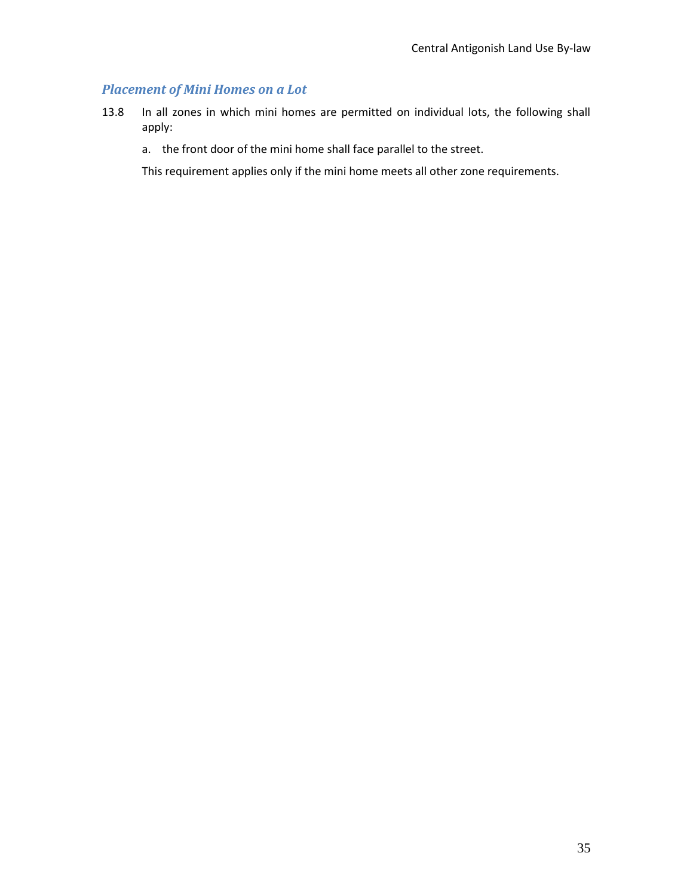## <span id="page-34-0"></span>*Placement of Mini Homes on a Lot*

- 13.8 In all zones in which mini homes are permitted on individual lots, the following shall apply:
	- a. the front door of the mini home shall face parallel to the street.

This requirement applies only if the mini home meets all other zone requirements.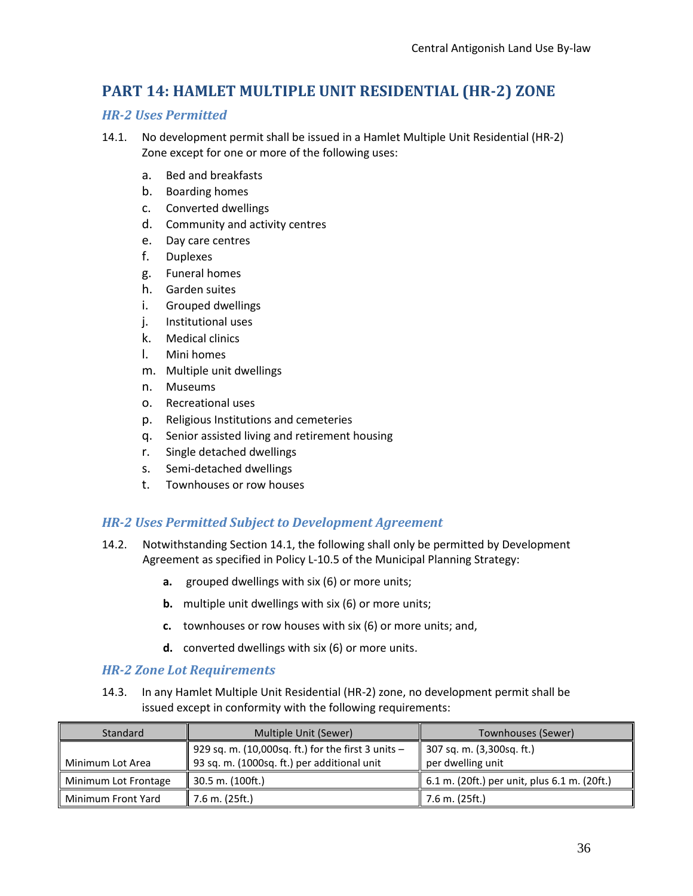## <span id="page-35-0"></span>**PART 14: HAMLET MULTIPLE UNIT RESIDENTIAL (HR-2) ZONE**

#### <span id="page-35-1"></span>*HR-2 Uses Permitted*

- 14.1. No development permit shall be issued in a Hamlet Multiple Unit Residential (HR-2) Zone except for one or more of the following uses:
	- a. Bed and breakfasts
	- b. Boarding homes
	- c. Converted dwellings
	- d. Community and activity centres
	- e. Day care centres
	- f. Duplexes
	- g. Funeral homes
	- h. Garden suites
	- i. Grouped dwellings
	- j. Institutional uses
	- k. Medical clinics
	- l. Mini homes
	- m. Multiple unit dwellings
	- n. Museums
	- o. Recreational uses
	- p. Religious Institutions and cemeteries
	- q. Senior assisted living and retirement housing
	- r. Single detached dwellings
	- s. Semi-detached dwellings
	- t. Townhouses or row houses

#### <span id="page-35-2"></span>*HR-2 Uses Permitted Subject to Development Agreement*

- 14.2. Notwithstanding Section 14.1, the following shall only be permitted by Development Agreement as specified in Policy L-10.5 of the Municipal Planning Strategy:
	- **a.** grouped dwellings with six (6) or more units;
	- **b.** multiple unit dwellings with six (6) or more units;
	- **c.** townhouses or row houses with six (6) or more units; and,
	- **d.** converted dwellings with six (6) or more units.

#### <span id="page-35-3"></span>*HR-2 Zone Lot Requirements*

14.3. In any Hamlet Multiple Unit Residential (HR-2) zone, no development permit shall be issued except in conformity with the following requirements:

| Standard             | Multiple Unit (Sewer)                              | Townhouses (Sewer)                           |
|----------------------|----------------------------------------------------|----------------------------------------------|
|                      | 929 sq. m. (10,000sq. ft.) for the first 3 units - | 307 sq. m. (3,300sq. ft.)                    |
| Minimum Lot Area     | 93 sq. m. (1000sq. ft.) per additional unit        | per dwelling unit                            |
| Minimum Lot Frontage | 30.5 m. (100ft.)                                   | 6.1 m. (20ft.) per unit, plus 6.1 m. (20ft.) |
| Minimum Front Yard   | 7.6 m. (25ft.)                                     | 7.6 m. (25ft.)                               |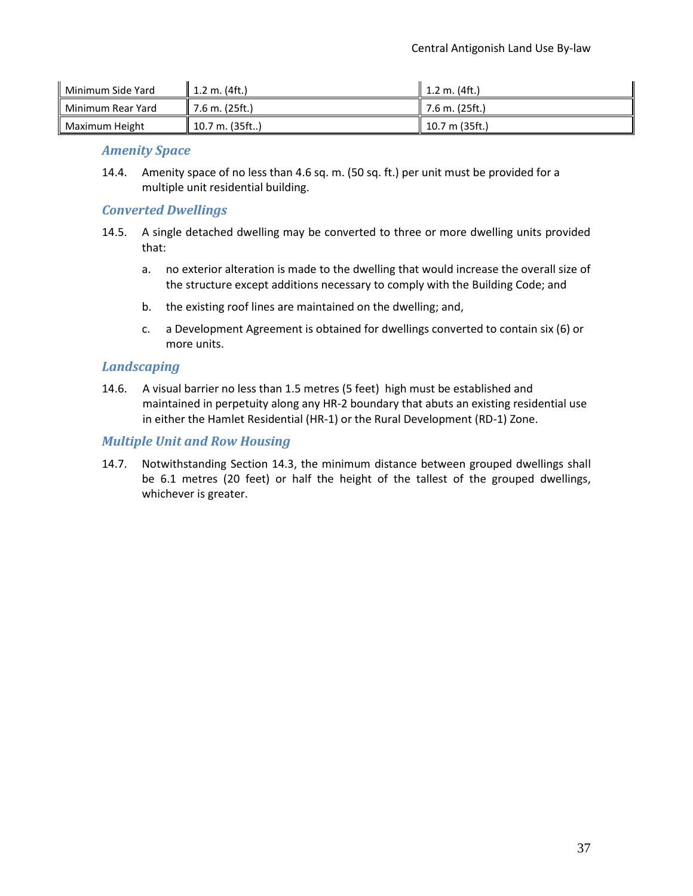| Minimum Side Yard | ll 1.2 m. (4ft.) | ll 1.2 m. (4ft.)  |
|-------------------|------------------|-------------------|
| Minimum Rear Yard | 7.6 m. (25ft.)   | ll 7.6 m. (25ft.) |
| Maximum Height    | 10.7 m. (35ft)   | 10.7 m (35ft.)    |

#### <span id="page-36-0"></span>*Amenity Space*

14.4. Amenity space of no less than 4.6 sq. m. (50 sq. ft.) per unit must be provided for a multiple unit residential building.

### <span id="page-36-1"></span>*Converted Dwellings*

- 14.5. A single detached dwelling may be converted to three or more dwelling units provided that:
	- a. no exterior alteration is made to the dwelling that would increase the overall size of the structure except additions necessary to comply with the Building Code; and
	- b. the existing roof lines are maintained on the dwelling; and,
	- c. a Development Agreement is obtained for dwellings converted to contain six (6) or more units.

### <span id="page-36-2"></span>*Landscaping*

14.6. A visual barrier no less than 1.5 metres (5 feet) high must be established and maintained in perpetuity along any HR-2 boundary that abuts an existing residential use in either the Hamlet Residential (HR-1) or the Rural Development (RD-1) Zone.

### <span id="page-36-3"></span>*Multiple Unit and Row Housing*

14.7. Notwithstanding Section 14.3, the minimum distance between grouped dwellings shall be 6.1 metres (20 feet) or half the height of the tallest of the grouped dwellings, whichever is greater.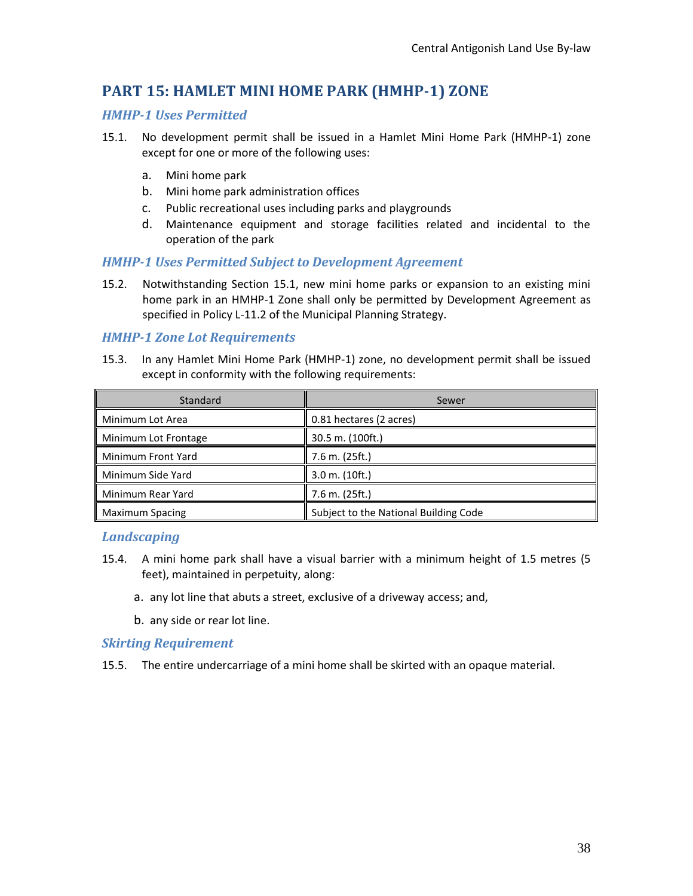## <span id="page-37-0"></span>**PART 15: HAMLET MINI HOME PARK (HMHP-1) ZONE**

### <span id="page-37-1"></span>*HMHP-1 Uses Permitted*

- 15.1. No development permit shall be issued in a Hamlet Mini Home Park (HMHP-1) zone except for one or more of the following uses:
	- a. Mini home park
	- b. Mini home park administration offices
	- c. Public recreational uses including parks and playgrounds
	- d. Maintenance equipment and storage facilities related and incidental to the operation of the park

#### <span id="page-37-2"></span>*HMHP-1 Uses Permitted Subject to Development Agreement*

15.2. Notwithstanding Section 15.1, new mini home parks or expansion to an existing mini home park in an HMHP-1 Zone shall only be permitted by Development Agreement as specified in Policy L-11.2 of the Municipal Planning Strategy.

#### <span id="page-37-3"></span>*HMHP-1 Zone Lot Requirements*

15.3. In any Hamlet Mini Home Park (HMHP-1) zone, no development permit shall be issued except in conformity with the following requirements:

| <b>Standard</b>        | Sewer                                 |
|------------------------|---------------------------------------|
| Minimum Lot Area       | 0.81 hectares (2 acres)               |
| Minimum Lot Frontage   | 30.5 m. (100ft.)                      |
| Minimum Front Yard     | 7.6 m. (25ft.)                        |
| Minimum Side Yard      | $3.0$ m. $(10ft.)$                    |
| Minimum Rear Yard      | 7.6 m. (25ft.)                        |
| <b>Maximum Spacing</b> | Subject to the National Building Code |

#### <span id="page-37-4"></span>*Landscaping*

- 15.4. A mini home park shall have a visual barrier with a minimum height of 1.5 metres (5 feet), maintained in perpetuity, along:
	- a. any lot line that abuts a street, exclusive of a driveway access; and,
	- b. any side or rear lot line.

#### <span id="page-37-5"></span>*Skirting Requirement*

15.5. The entire undercarriage of a mini home shall be skirted with an opaque material.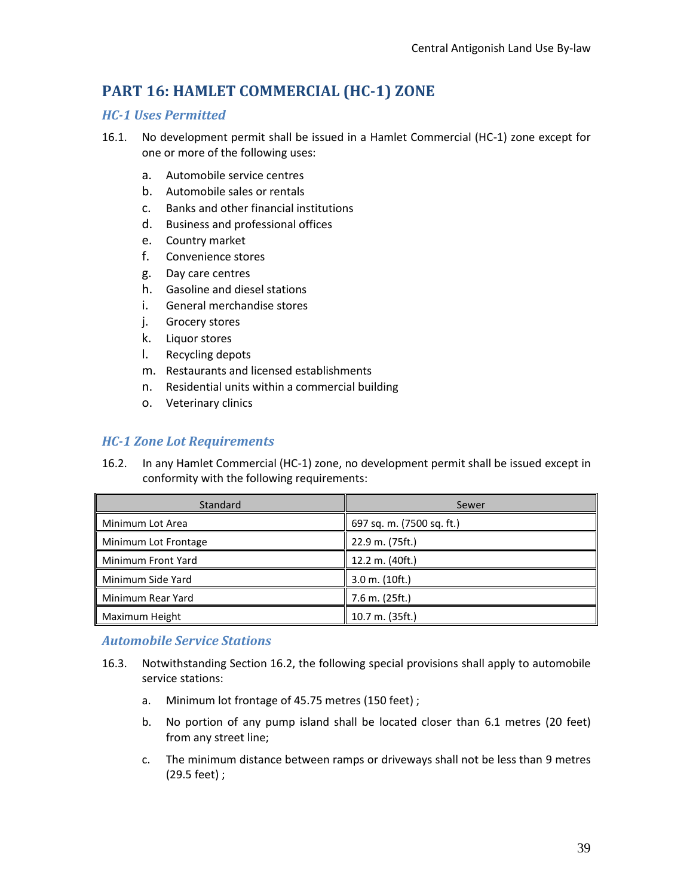# <span id="page-38-0"></span>**PART 16: HAMLET COMMERCIAL (HC-1) ZONE**

## <span id="page-38-1"></span>*HC-1 Uses Permitted*

- 16.1. No development permit shall be issued in a Hamlet Commercial (HC-1) zone except for one or more of the following uses:
	- a. Automobile service centres
	- b. Automobile sales or rentals
	- c. Banks and other financial institutions
	- d. Business and professional offices
	- e. Country market
	- f. Convenience stores
	- g. Day care centres
	- h. Gasoline and diesel stations
	- i. General merchandise stores
	- j. Grocery stores
	- k. Liquor stores
	- l. Recycling depots
	- m. Restaurants and licensed establishments
	- n. Residential units within a commercial building
	- o. Veterinary clinics

## <span id="page-38-2"></span>*HC-1 Zone Lot Requirements*

16.2. In any Hamlet Commercial (HC-1) zone, no development permit shall be issued except in conformity with the following requirements:

| Standard             | Sewer                     |
|----------------------|---------------------------|
| Minimum Lot Area     | 697 sq. m. (7500 sq. ft.) |
| Minimum Lot Frontage | 22.9 m. (75ft.)           |
| Minimum Front Yard   | 12.2 m. (40ft.)           |
| Minimum Side Yard    | $3.0$ m. $(10ft.)$        |
| Minimum Rear Yard    | $7.6$ m. $(25ft.)$        |
| Maximum Height       | 10.7 m. (35ft.)           |

### <span id="page-38-3"></span>*Automobile Service Stations*

- 16.3. Notwithstanding Section 16.2, the following special provisions shall apply to automobile service stations:
	- a. Minimum lot frontage of 45.75 metres (150 feet) ;
	- b. No portion of any pump island shall be located closer than 6.1 metres (20 feet) from any street line;
	- c. The minimum distance between ramps or driveways shall not be less than 9 metres (29.5 feet) ;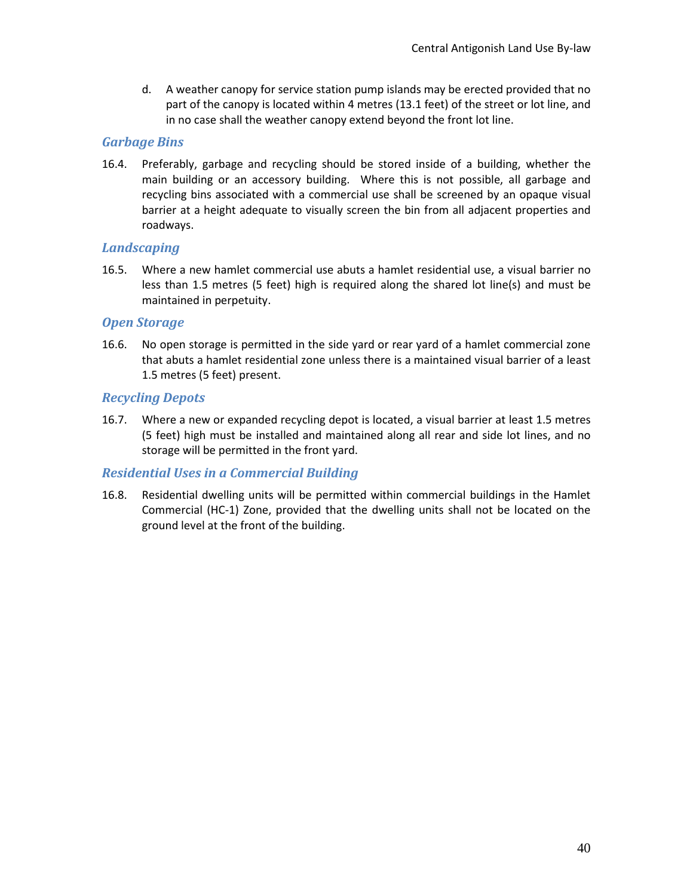d. A weather canopy for service station pump islands may be erected provided that no part of the canopy is located within 4 metres (13.1 feet) of the street or lot line, and in no case shall the weather canopy extend beyond the front lot line.

### <span id="page-39-0"></span>*Garbage Bins*

16.4. Preferably, garbage and recycling should be stored inside of a building, whether the main building or an accessory building. Where this is not possible, all garbage and recycling bins associated with a commercial use shall be screened by an opaque visual barrier at a height adequate to visually screen the bin from all adjacent properties and roadways.

### <span id="page-39-1"></span>*Landscaping*

16.5. Where a new hamlet commercial use abuts a hamlet residential use, a visual barrier no less than 1.5 metres (5 feet) high is required along the shared lot line(s) and must be maintained in perpetuity.

### <span id="page-39-2"></span>*Open Storage*

16.6. No open storage is permitted in the side yard or rear yard of a hamlet commercial zone that abuts a hamlet residential zone unless there is a maintained visual barrier of a least 1.5 metres (5 feet) present.

## <span id="page-39-3"></span>*Recycling Depots*

16.7. Where a new or expanded recycling depot is located, a visual barrier at least 1.5 metres (5 feet) high must be installed and maintained along all rear and side lot lines, and no storage will be permitted in the front yard.

## <span id="page-39-4"></span>*Residential Uses in a Commercial Building*

16.8. Residential dwelling units will be permitted within commercial buildings in the Hamlet Commercial (HC-1) Zone, provided that the dwelling units shall not be located on the ground level at the front of the building.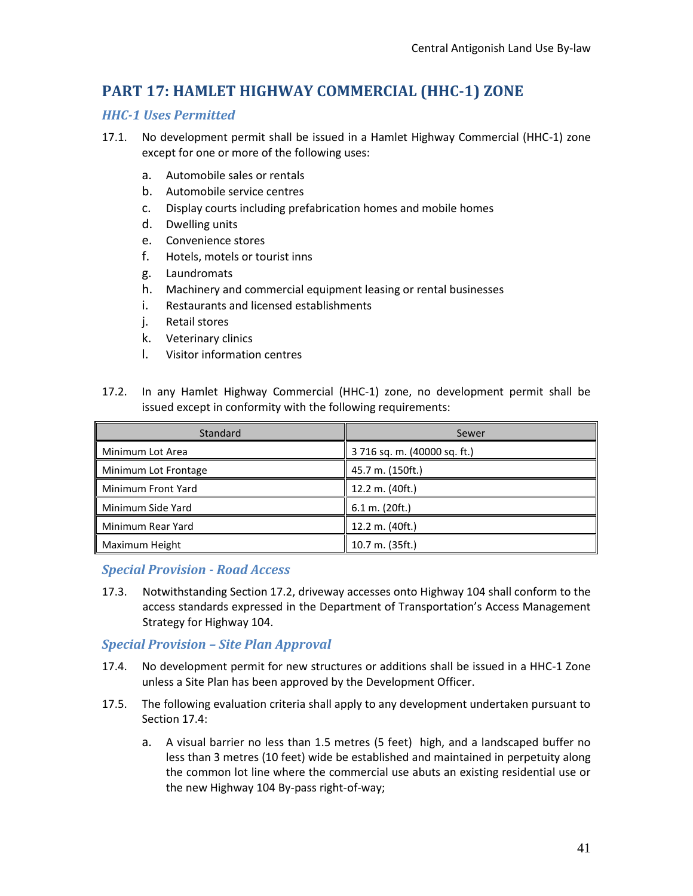# <span id="page-40-0"></span>**PART 17: HAMLET HIGHWAY COMMERCIAL (HHC-1) ZONE**

## <span id="page-40-1"></span>*HHC-1 Uses Permitted*

- 17.1. No development permit shall be issued in a Hamlet Highway Commercial (HHC-1) zone except for one or more of the following uses:
	- a. Automobile sales or rentals
	- b. Automobile service centres
	- c. Display courts including prefabrication homes and mobile homes
	- d. Dwelling units
	- e. Convenience stores
	- f. Hotels, motels or tourist inns
	- g. Laundromats
	- h. Machinery and commercial equipment leasing or rental businesses
	- i. Restaurants and licensed establishments
	- j. Retail stores
	- k. Veterinary clinics
	- l. Visitor information centres
- 17.2. In any Hamlet Highway Commercial (HHC-1) zone, no development permit shall be issued except in conformity with the following requirements:

| Standard             | Sewer                        |
|----------------------|------------------------------|
| Minimum Lot Area     | 3 716 sq. m. (40000 sq. ft.) |
| Minimum Lot Frontage | 45.7 m. (150ft.)             |
| Minimum Front Yard   | 12.2 m. (40ft.)              |
| Minimum Side Yard    | 6.1 m. (20 ft.)              |
| Minimum Rear Yard    | 12.2 m. (40ft.)              |
| Maximum Height       | 10.7 m. (35ft.)              |

### <span id="page-40-2"></span>*Special Provision - Road Access*

17.3. Notwithstanding Section 17.2, driveway accesses onto Highway 104 shall conform to the access standards expressed in the Department of Transportation's Access Management Strategy for Highway 104.

### <span id="page-40-3"></span>*Special Provision – Site Plan Approval*

- 17.4. No development permit for new structures or additions shall be issued in a HHC-1 Zone unless a Site Plan has been approved by the Development Officer.
- 17.5. The following evaluation criteria shall apply to any development undertaken pursuant to Section 17.4:
	- a. A visual barrier no less than 1.5 metres (5 feet) high, and a landscaped buffer no less than 3 metres (10 feet) wide be established and maintained in perpetuity along the common lot line where the commercial use abuts an existing residential use or the new Highway 104 By-pass right-of-way;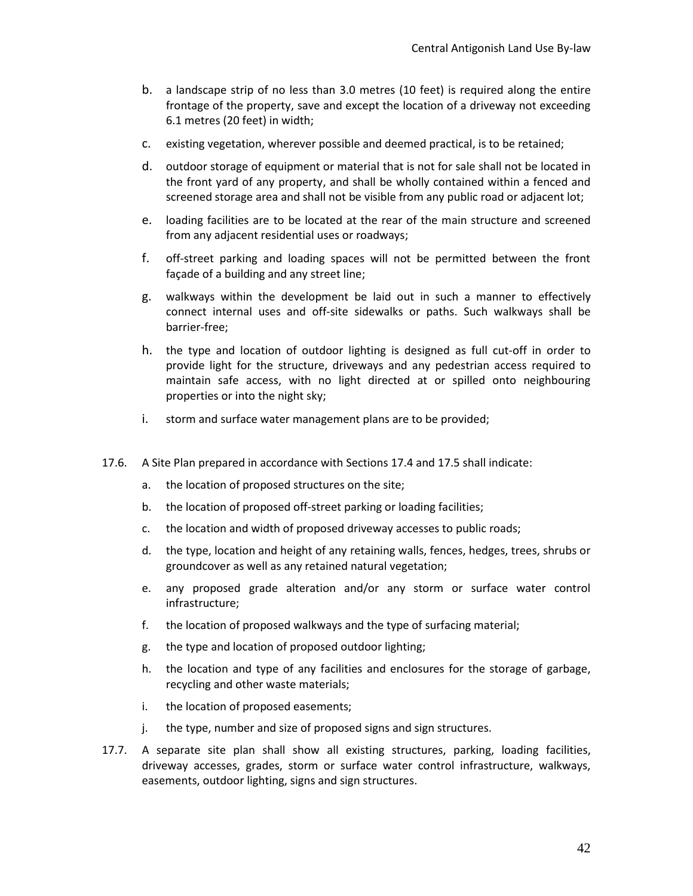- b. a landscape strip of no less than 3.0 metres (10 feet) is required along the entire frontage of the property, save and except the location of a driveway not exceeding 6.1 metres (20 feet) in width;
- c. existing vegetation, wherever possible and deemed practical, is to be retained;
- d. outdoor storage of equipment or material that is not for sale shall not be located in the front yard of any property, and shall be wholly contained within a fenced and screened storage area and shall not be visible from any public road or adjacent lot;
- e. loading facilities are to be located at the rear of the main structure and screened from any adjacent residential uses or roadways;
- f. off-street parking and loading spaces will not be permitted between the front façade of a building and any street line;
- g. walkways within the development be laid out in such a manner to effectively connect internal uses and off-site sidewalks or paths. Such walkways shall be barrier-free;
- h. the type and location of outdoor lighting is designed as full cut-off in order to provide light for the structure, driveways and any pedestrian access required to maintain safe access, with no light directed at or spilled onto neighbouring properties or into the night sky;
- i. storm and surface water management plans are to be provided;
- 17.6. A Site Plan prepared in accordance with Sections 17.4 and 17.5 shall indicate:
	- a. the location of proposed structures on the site;
	- b. the location of proposed off-street parking or loading facilities;
	- c. the location and width of proposed driveway accesses to public roads;
	- d. the type, location and height of any retaining walls, fences, hedges, trees, shrubs or groundcover as well as any retained natural vegetation;
	- e. any proposed grade alteration and/or any storm or surface water control infrastructure;
	- f. the location of proposed walkways and the type of surfacing material;
	- g. the type and location of proposed outdoor lighting;
	- h. the location and type of any facilities and enclosures for the storage of garbage, recycling and other waste materials;
	- i. the location of proposed easements;
	- j. the type, number and size of proposed signs and sign structures.
- 17.7. A separate site plan shall show all existing structures, parking, loading facilities, driveway accesses, grades, storm or surface water control infrastructure, walkways, easements, outdoor lighting, signs and sign structures.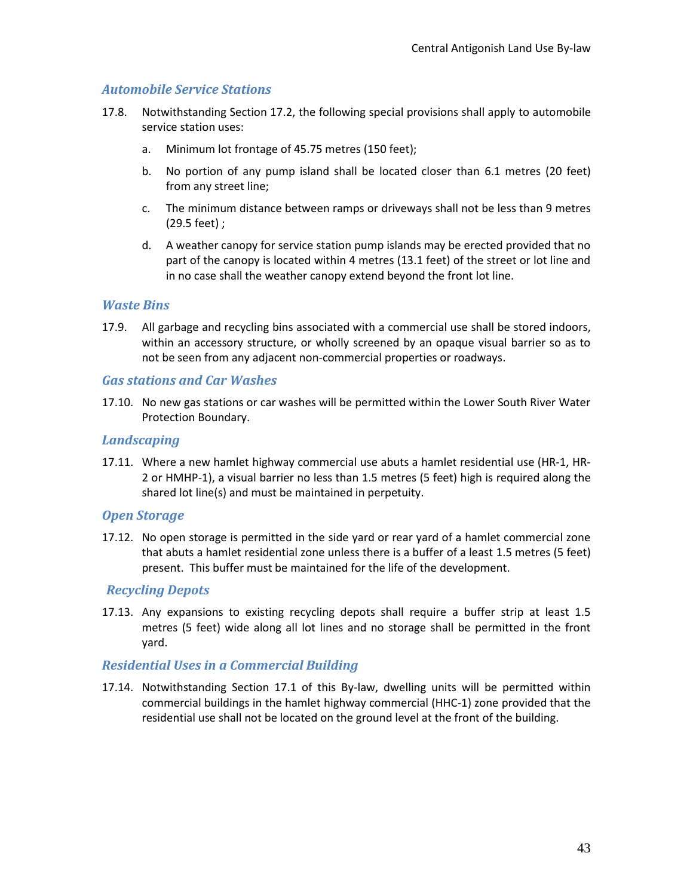## <span id="page-42-0"></span>*Automobile Service Stations*

- 17.8. Notwithstanding Section 17.2, the following special provisions shall apply to automobile service station uses:
	- a. Minimum lot frontage of 45.75 metres (150 feet);
	- b. No portion of any pump island shall be located closer than 6.1 metres (20 feet) from any street line;
	- c. The minimum distance between ramps or driveways shall not be less than 9 metres (29.5 feet) ;
	- d. A weather canopy for service station pump islands may be erected provided that no part of the canopy is located within 4 metres (13.1 feet) of the street or lot line and in no case shall the weather canopy extend beyond the front lot line.

### <span id="page-42-1"></span>*Waste Bins*

17.9. All garbage and recycling bins associated with a commercial use shall be stored indoors, within an accessory structure, or wholly screened by an opaque visual barrier so as to not be seen from any adjacent non-commercial properties or roadways.

#### <span id="page-42-2"></span>*Gas stations and Car Washes*

17.10. No new gas stations or car washes will be permitted within the Lower South River Water Protection Boundary.

#### <span id="page-42-3"></span>*Landscaping*

17.11. Where a new hamlet highway commercial use abuts a hamlet residential use (HR-1, HR-2 or HMHP-1), a visual barrier no less than 1.5 metres (5 feet) high is required along the shared lot line(s) and must be maintained in perpetuity.

### <span id="page-42-4"></span>*Open Storage*

17.12. No open storage is permitted in the side yard or rear yard of a hamlet commercial zone that abuts a hamlet residential zone unless there is a buffer of a least 1.5 metres (5 feet) present. This buffer must be maintained for the life of the development.

### <span id="page-42-5"></span>*Recycling Depots*

17.13. Any expansions to existing recycling depots shall require a buffer strip at least 1.5 metres (5 feet) wide along all lot lines and no storage shall be permitted in the front yard.

### <span id="page-42-6"></span>*Residential Uses in a Commercial Building*

17.14. Notwithstanding Section 17.1 of this By-law, dwelling units will be permitted within commercial buildings in the hamlet highway commercial (HHC-1) zone provided that the residential use shall not be located on the ground level at the front of the building.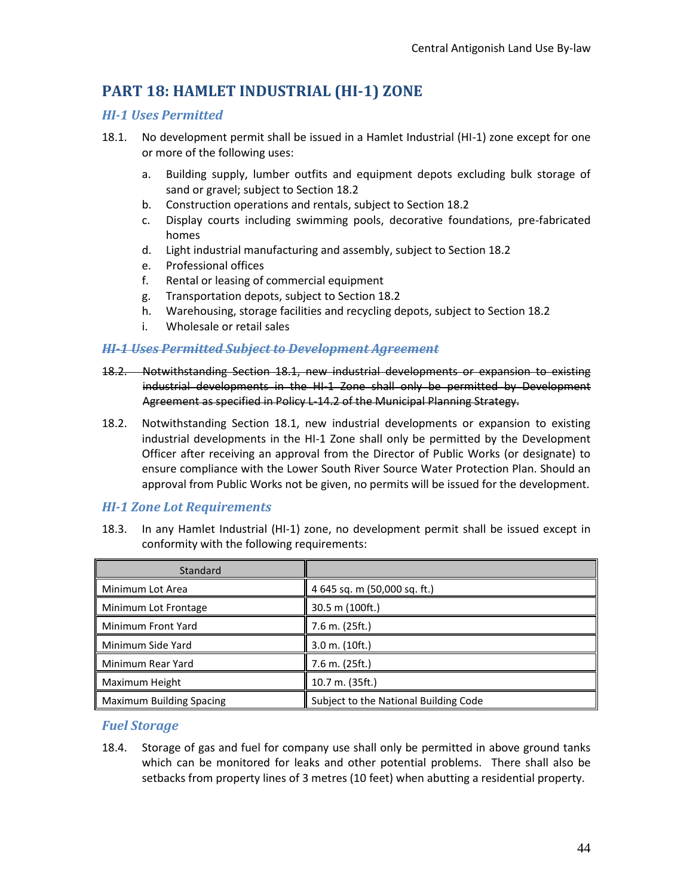# **PART 18: HAMLET INDUSTRIAL (HI-1) ZONE**

### <span id="page-43-0"></span>*HI-1 Uses Permitted*

- 18.1. No development permit shall be issued in a Hamlet Industrial (HI-1) zone except for one or more of the following uses:
	- a. Building supply, lumber outfits and equipment depots excluding bulk storage of sand or gravel; subject to Section 18.2
	- b. Construction operations and rentals, subject to Section 18.2
	- c. Display courts including swimming pools, decorative foundations, pre-fabricated homes
	- d. Light industrial manufacturing and assembly, subject to Section 18.2
	- e. Professional offices
	- f. Rental or leasing of commercial equipment
	- g. Transportation depots, subject to Section 18.2
	- h. Warehousing, storage facilities and recycling depots, subject to Section 18.2
	- i. Wholesale or retail sales

### <span id="page-43-1"></span>*HI-1 Uses Permitted Subject to Development Agreement*

- 18.2. Notwithstanding Section 18.1, new industrial developments or expansion to existing industrial developments in the HI-1 Zone shall only be permitted by Development Agreement as specified in Policy L-14.2 of the Municipal Planning Strategy.
- 18.2. Notwithstanding Section 18.1, new industrial developments or expansion to existing industrial developments in the HI-1 Zone shall only be permitted by the Development Officer after receiving an approval from the Director of Public Works (or designate) to ensure compliance with the Lower South River Source Water Protection Plan. Should an approval from Public Works not be given, no permits will be issued for the development.

### <span id="page-43-2"></span>*HI-1 Zone Lot Requirements*

18.3. In any Hamlet Industrial (HI-1) zone, no development permit shall be issued except in conformity with the following requirements:

| Standard                        |                                       |
|---------------------------------|---------------------------------------|
| Minimum Lot Area                | 4 645 sq. m (50,000 sq. ft.)          |
| Minimum Lot Frontage            | 30.5 m (100ft.)                       |
| Minimum Front Yard              | 7.6 m. (25ft.)                        |
| Minimum Side Yard               | $3.0$ m. $(10ft.)$                    |
| Minimum Rear Yard               | 7.6 m. (25ft.)                        |
| Maximum Height                  | 10.7 m. (35ft.)                       |
| <b>Maximum Building Spacing</b> | Subject to the National Building Code |

### <span id="page-43-3"></span>*Fuel Storage*

18.4. Storage of gas and fuel for company use shall only be permitted in above ground tanks which can be monitored for leaks and other potential problems. There shall also be setbacks from property lines of 3 metres (10 feet) when abutting a residential property.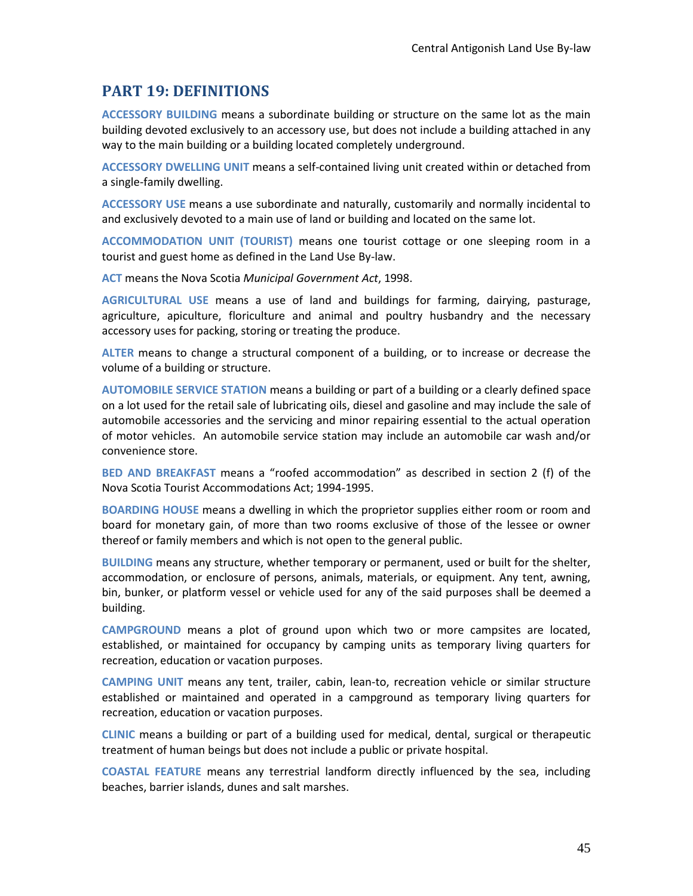## <span id="page-44-0"></span>**PART 19: DEFINITIONS**

**ACCESSORY BUILDING** means a subordinate building or structure on the same lot as the main building devoted exclusively to an accessory use, but does not include a building attached in any way to the main building or a building located completely underground.

**ACCESSORY DWELLING UNIT** means a self-contained living unit created within or detached from a single-family dwelling.

**ACCESSORY USE** means a use subordinate and naturally, customarily and normally incidental to and exclusively devoted to a main use of land or building and located on the same lot.

**ACCOMMODATION UNIT (TOURIST)** means one tourist cottage or one sleeping room in a tourist and guest home as defined in the Land Use By-law.

**ACT** means the Nova Scotia *Municipal Government Act*, 1998.

**AGRICULTURAL USE** means a use of land and buildings for farming, dairying, pasturage, agriculture, apiculture, floriculture and animal and poultry husbandry and the necessary accessory uses for packing, storing or treating the produce.

**ALTER** means to change a structural component of a building, or to increase or decrease the volume of a building or structure.

**AUTOMOBILE SERVICE STATION** means a building or part of a building or a clearly defined space on a lot used for the retail sale of lubricating oils, diesel and gasoline and may include the sale of automobile accessories and the servicing and minor repairing essential to the actual operation of motor vehicles. An automobile service station may include an automobile car wash and/or convenience store.

**BED AND BREAKFAST** means a "roofed accommodation" as described in section 2 (f) of the Nova Scotia Tourist Accommodations Act; 1994-1995.

**BOARDING HOUSE** means a dwelling in which the proprietor supplies either room or room and board for monetary gain, of more than two rooms exclusive of those of the lessee or owner thereof or family members and which is not open to the general public.

**BUILDING** means any structure, whether temporary or permanent, used or built for the shelter, accommodation, or enclosure of persons, animals, materials, or equipment. Any tent, awning, bin, bunker, or platform vessel or vehicle used for any of the said purposes shall be deemed a building.

**CAMPGROUND** means a plot of ground upon which two or more campsites are located, established, or maintained for occupancy by camping units as temporary living quarters for recreation, education or vacation purposes.

**CAMPING UNIT** means any tent, trailer, cabin, lean-to, recreation vehicle or similar structure established or maintained and operated in a campground as temporary living quarters for recreation, education or vacation purposes.

**CLINIC** means a building or part of a building used for medical, dental, surgical or therapeutic treatment of human beings but does not include a public or private hospital.

**COASTAL FEATURE** means any terrestrial landform directly influenced by the sea, including beaches, barrier islands, dunes and salt marshes.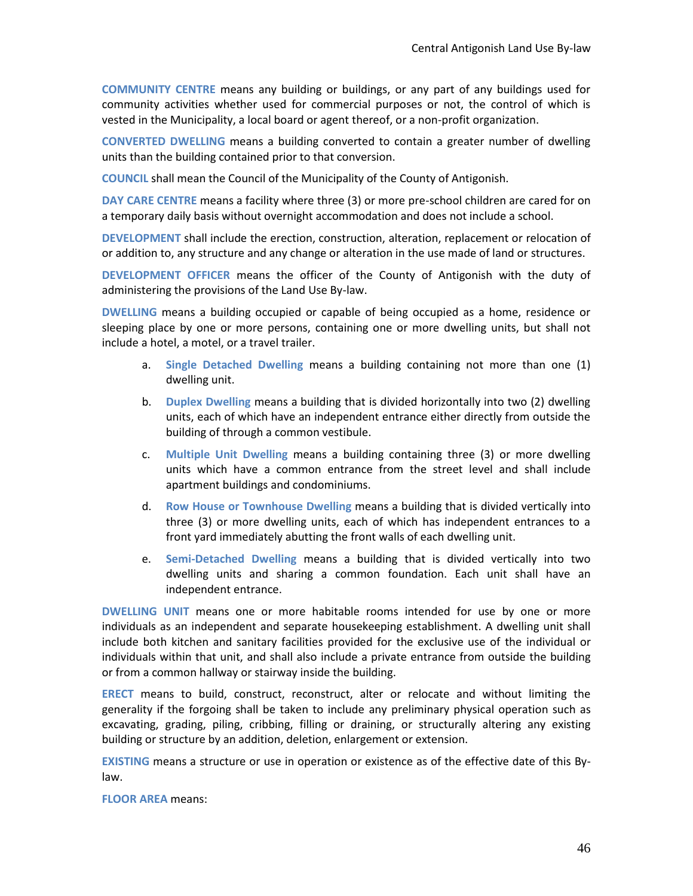**COMMUNITY CENTRE** means any building or buildings, or any part of any buildings used for community activities whether used for commercial purposes or not, the control of which is vested in the Municipality, a local board or agent thereof, or a non-profit organization.

**CONVERTED DWELLING** means a building converted to contain a greater number of dwelling units than the building contained prior to that conversion.

**COUNCIL** shall mean the Council of the Municipality of the County of Antigonish.

**DAY CARE CENTRE** means a facility where three (3) or more pre-school children are cared for on a temporary daily basis without overnight accommodation and does not include a school.

**DEVELOPMENT** shall include the erection, construction, alteration, replacement or relocation of or addition to, any structure and any change or alteration in the use made of land or structures.

**DEVELOPMENT OFFICER** means the officer of the County of Antigonish with the duty of administering the provisions of the Land Use By-law.

**DWELLING** means a building occupied or capable of being occupied as a home, residence or sleeping place by one or more persons, containing one or more dwelling units, but shall not include a hotel, a motel, or a travel trailer.

- a. **Single Detached Dwelling** means a building containing not more than one (1) dwelling unit.
- b. **Duplex Dwelling** means a building that is divided horizontally into two (2) dwelling units, each of which have an independent entrance either directly from outside the building of through a common vestibule.
- c. **Multiple Unit Dwelling** means a building containing three (3) or more dwelling units which have a common entrance from the street level and shall include apartment buildings and condominiums.
- d. **Row House or Townhouse Dwelling** means a building that is divided vertically into three (3) or more dwelling units, each of which has independent entrances to a front yard immediately abutting the front walls of each dwelling unit.
- e. **Semi-Detached Dwelling** means a building that is divided vertically into two dwelling units and sharing a common foundation. Each unit shall have an independent entrance.

**DWELLING UNIT** means one or more habitable rooms intended for use by one or more individuals as an independent and separate housekeeping establishment. A dwelling unit shall include both kitchen and sanitary facilities provided for the exclusive use of the individual or individuals within that unit, and shall also include a private entrance from outside the building or from a common hallway or stairway inside the building.

**ERECT** means to build, construct, reconstruct, alter or relocate and without limiting the generality if the forgoing shall be taken to include any preliminary physical operation such as excavating, grading, piling, cribbing, filling or draining, or structurally altering any existing building or structure by an addition, deletion, enlargement or extension.

**EXISTING** means a structure or use in operation or existence as of the effective date of this Bylaw.

**FLOOR AREA** means: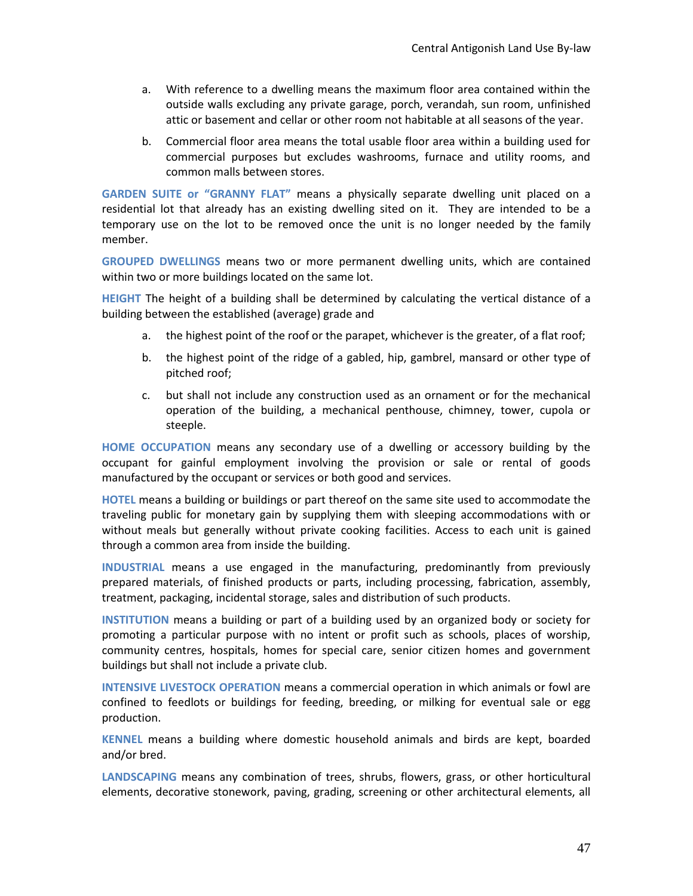- a. With reference to a dwelling means the maximum floor area contained within the outside walls excluding any private garage, porch, verandah, sun room, unfinished attic or basement and cellar or other room not habitable at all seasons of the year.
- b. Commercial floor area means the total usable floor area within a building used for commercial purposes but excludes washrooms, furnace and utility rooms, and common malls between stores.

**GARDEN SUITE or "GRANNY FLAT"** means a physically separate dwelling unit placed on a residential lot that already has an existing dwelling sited on it. They are intended to be a temporary use on the lot to be removed once the unit is no longer needed by the family member.

**GROUPED DWELLINGS** means two or more permanent dwelling units, which are contained within two or more buildings located on the same lot.

**HEIGHT** The height of a building shall be determined by calculating the vertical distance of a building between the established (average) grade and

- a. the highest point of the roof or the parapet, whichever is the greater, of a flat roof;
- b. the highest point of the ridge of a gabled, hip, gambrel, mansard or other type of pitched roof;
- c. but shall not include any construction used as an ornament or for the mechanical operation of the building, a mechanical penthouse, chimney, tower, cupola or steeple.

**HOME OCCUPATION** means any secondary use of a dwelling or accessory building by the occupant for gainful employment involving the provision or sale or rental of goods manufactured by the occupant or services or both good and services.

**HOTEL** means a building or buildings or part thereof on the same site used to accommodate the traveling public for monetary gain by supplying them with sleeping accommodations with or without meals but generally without private cooking facilities. Access to each unit is gained through a common area from inside the building.

**INDUSTRIAL** means a use engaged in the manufacturing, predominantly from previously prepared materials, of finished products or parts, including processing, fabrication, assembly, treatment, packaging, incidental storage, sales and distribution of such products.

**INSTITUTION** means a building or part of a building used by an organized body or society for promoting a particular purpose with no intent or profit such as schools, places of worship, community centres, hospitals, homes for special care, senior citizen homes and government buildings but shall not include a private club.

**INTENSIVE LIVESTOCK OPERATION** means a commercial operation in which animals or fowl are confined to feedlots or buildings for feeding, breeding, or milking for eventual sale or egg production.

**KENNEL** means a building where domestic household animals and birds are kept, boarded and/or bred.

**LANDSCAPING** means any combination of trees, shrubs, flowers, grass, or other horticultural elements, decorative stonework, paving, grading, screening or other architectural elements, all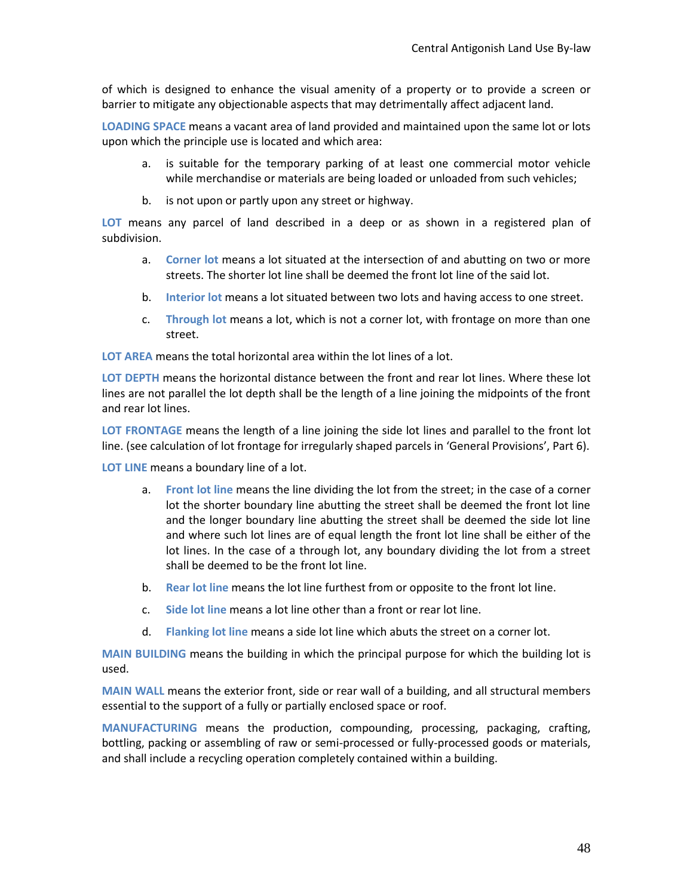of which is designed to enhance the visual amenity of a property or to provide a screen or barrier to mitigate any objectionable aspects that may detrimentally affect adjacent land.

**LOADING SPACE** means a vacant area of land provided and maintained upon the same lot or lots upon which the principle use is located and which area:

- a. is suitable for the temporary parking of at least one commercial motor vehicle while merchandise or materials are being loaded or unloaded from such vehicles;
- b. is not upon or partly upon any street or highway.

**LOT** means any parcel of land described in a deep or as shown in a registered plan of subdivision.

- a. **Corner lot** means a lot situated at the intersection of and abutting on two or more streets. The shorter lot line shall be deemed the front lot line of the said lot.
- b. **Interior lot** means a lot situated between two lots and having access to one street.
- c. **Through lot** means a lot, which is not a corner lot, with frontage on more than one street.

**LOT AREA** means the total horizontal area within the lot lines of a lot.

**LOT DEPTH** means the horizontal distance between the front and rear lot lines. Where these lot lines are not parallel the lot depth shall be the length of a line joining the midpoints of the front and rear lot lines.

**LOT FRONTAGE** means the length of a line joining the side lot lines and parallel to the front lot line. (see calculation of lot frontage for irregularly shaped parcels in 'General Provisions', Part 6).

**LOT LINE** means a boundary line of a lot.

- a. **Front lot line** means the line dividing the lot from the street; in the case of a corner lot the shorter boundary line abutting the street shall be deemed the front lot line and the longer boundary line abutting the street shall be deemed the side lot line and where such lot lines are of equal length the front lot line shall be either of the lot lines. In the case of a through lot, any boundary dividing the lot from a street shall be deemed to be the front lot line.
- b. **Rear lot line** means the lot line furthest from or opposite to the front lot line.
- c. **Side lot line** means a lot line other than a front or rear lot line.
- d. **Flanking lot line** means a side lot line which abuts the street on a corner lot.

**MAIN BUILDING** means the building in which the principal purpose for which the building lot is used.

**MAIN WALL** means the exterior front, side or rear wall of a building, and all structural members essential to the support of a fully or partially enclosed space or roof.

**MANUFACTURING** means the production, compounding, processing, packaging, crafting, bottling, packing or assembling of raw or semi-processed or fully-processed goods or materials, and shall include a recycling operation completely contained within a building.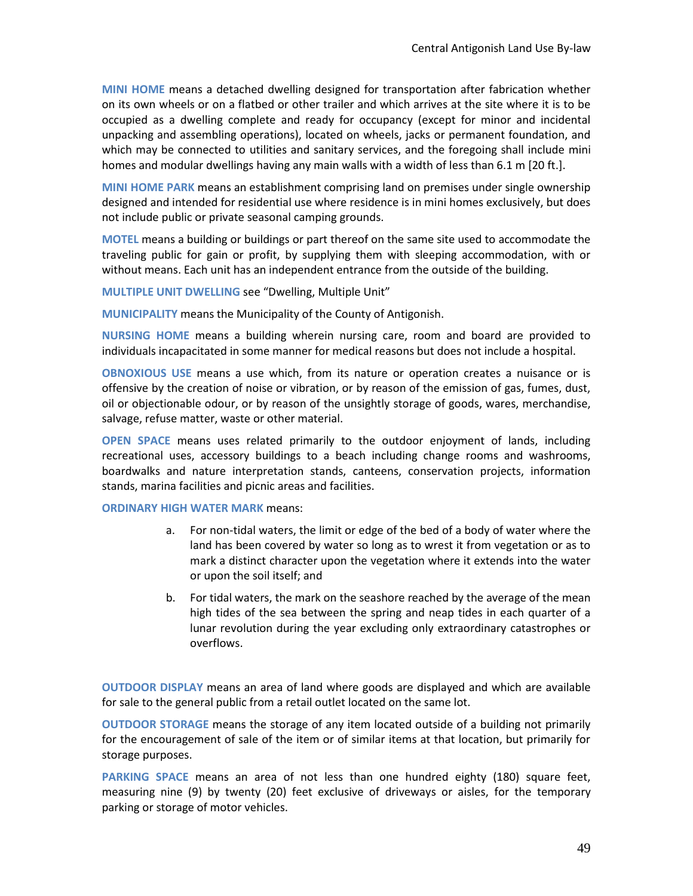**MINI HOME** means a detached dwelling designed for transportation after fabrication whether on its own wheels or on a flatbed or other trailer and which arrives at the site where it is to be occupied as a dwelling complete and ready for occupancy (except for minor and incidental unpacking and assembling operations), located on wheels, jacks or permanent foundation, and which may be connected to utilities and sanitary services, and the foregoing shall include mini homes and modular dwellings having any main walls with a width of less than 6.1 m [20 ft.].

**MINI HOME PARK** means an establishment comprising land on premises under single ownership designed and intended for residential use where residence is in mini homes exclusively, but does not include public or private seasonal camping grounds.

**MOTEL** means a building or buildings or part thereof on the same site used to accommodate the traveling public for gain or profit, by supplying them with sleeping accommodation, with or without means. Each unit has an independent entrance from the outside of the building.

**MULTIPLE UNIT DWELLING** see "Dwelling, Multiple Unit"

**MUNICIPALITY** means the Municipality of the County of Antigonish.

**NURSING HOME** means a building wherein nursing care, room and board are provided to individuals incapacitated in some manner for medical reasons but does not include a hospital.

**OBNOXIOUS USE** means a use which, from its nature or operation creates a nuisance or is offensive by the creation of noise or vibration, or by reason of the emission of gas, fumes, dust, oil or objectionable odour, or by reason of the unsightly storage of goods, wares, merchandise, salvage, refuse matter, waste or other material.

**OPEN SPACE** means uses related primarily to the outdoor enjoyment of lands, including recreational uses, accessory buildings to a beach including change rooms and washrooms, boardwalks and nature interpretation stands, canteens, conservation projects, information stands, marina facilities and picnic areas and facilities.

#### **ORDINARY HIGH WATER MARK** means:

- a. For non-tidal waters, the limit or edge of the bed of a body of water where the land has been covered by water so long as to wrest it from vegetation or as to mark a distinct character upon the vegetation where it extends into the water or upon the soil itself; and
- b. For tidal waters, the mark on the seashore reached by the average of the mean high tides of the sea between the spring and neap tides in each quarter of a lunar revolution during the year excluding only extraordinary catastrophes or overflows.

**OUTDOOR DISPLAY** means an area of land where goods are displayed and which are available for sale to the general public from a retail outlet located on the same lot.

**OUTDOOR STORAGE** means the storage of any item located outside of a building not primarily for the encouragement of sale of the item or of similar items at that location, but primarily for storage purposes.

**PARKING SPACE** means an area of not less than one hundred eighty (180) square feet, measuring nine (9) by twenty (20) feet exclusive of driveways or aisles, for the temporary parking or storage of motor vehicles.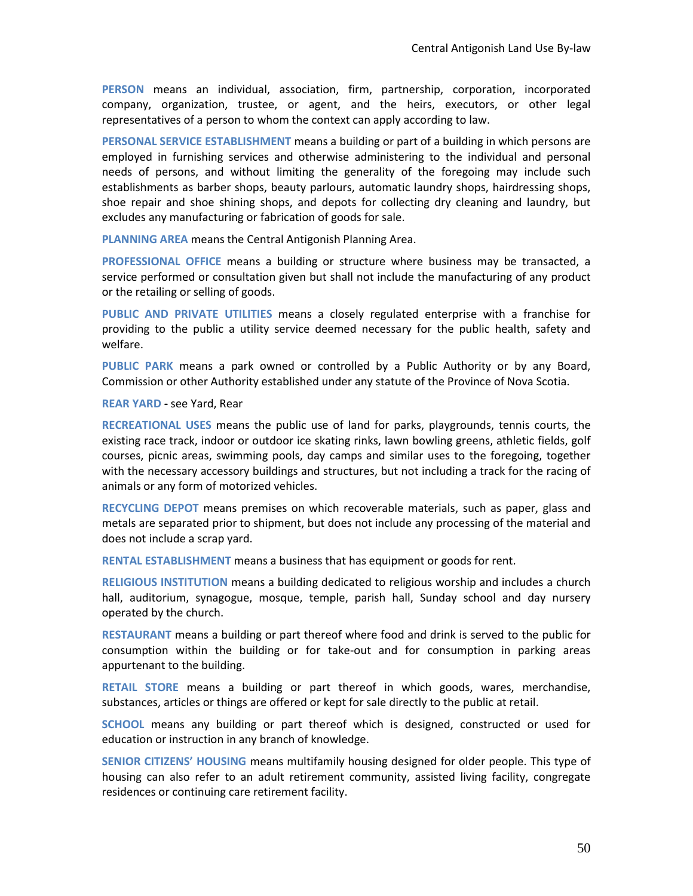**PERSON** means an individual, association, firm, partnership, corporation, incorporated company, organization, trustee, or agent, and the heirs, executors, or other legal representatives of a person to whom the context can apply according to law.

**PERSONAL SERVICE ESTABLISHMENT** means a building or part of a building in which persons are employed in furnishing services and otherwise administering to the individual and personal needs of persons, and without limiting the generality of the foregoing may include such establishments as barber shops, beauty parlours, automatic laundry shops, hairdressing shops, shoe repair and shoe shining shops, and depots for collecting dry cleaning and laundry, but excludes any manufacturing or fabrication of goods for sale.

**PLANNING AREA** means the Central Antigonish Planning Area.

**PROFESSIONAL OFFICE** means a building or structure where business may be transacted, a service performed or consultation given but shall not include the manufacturing of any product or the retailing or selling of goods.

**PUBLIC AND PRIVATE UTILITIES** means a closely regulated enterprise with a franchise for providing to the public a utility service deemed necessary for the public health, safety and welfare.

**PUBLIC PARK** means a park owned or controlled by a Public Authority or by any Board, Commission or other Authority established under any statute of the Province of Nova Scotia.

#### **REAR YARD -** see Yard, Rear

**RECREATIONAL USES** means the public use of land for parks, playgrounds, tennis courts, the existing race track, indoor or outdoor ice skating rinks, lawn bowling greens, athletic fields, golf courses, picnic areas, swimming pools, day camps and similar uses to the foregoing, together with the necessary accessory buildings and structures, but not including a track for the racing of animals or any form of motorized vehicles.

**RECYCLING DEPOT** means premises on which recoverable materials, such as paper, glass and metals are separated prior to shipment, but does not include any processing of the material and does not include a scrap yard.

**RENTAL ESTABLISHMENT** means a business that has equipment or goods for rent.

**RELIGIOUS INSTITUTION** means a building dedicated to religious worship and includes a church hall, auditorium, synagogue, mosque, temple, parish hall, Sunday school and day nursery operated by the church.

**RESTAURANT** means a building or part thereof where food and drink is served to the public for consumption within the building or for take-out and for consumption in parking areas appurtenant to the building.

**RETAIL STORE** means a building or part thereof in which goods, wares, merchandise, substances, articles or things are offered or kept for sale directly to the public at retail.

**SCHOOL** means any building or part thereof which is designed, constructed or used for education or instruction in any branch of knowledge.

**SENIOR CITIZENS' HOUSING** means multifamily housing designed for older people. This type of housing can also refer to an adult retirement community, assisted living facility, congregate residences or continuing care retirement facility.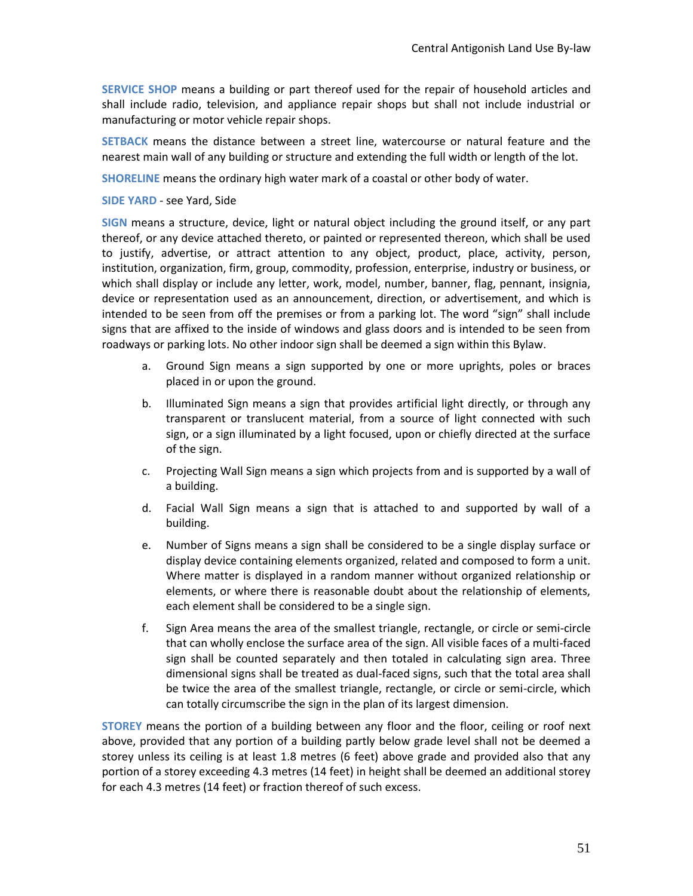**SERVICE SHOP** means a building or part thereof used for the repair of household articles and shall include radio, television, and appliance repair shops but shall not include industrial or manufacturing or motor vehicle repair shops.

**SETBACK** means the distance between a street line, watercourse or natural feature and the nearest main wall of any building or structure and extending the full width or length of the lot.

**SHORELINE** means the ordinary high water mark of a coastal or other body of water.

**SIDE YARD** - see Yard, Side

**SIGN** means a structure, device, light or natural object including the ground itself, or any part thereof, or any device attached thereto, or painted or represented thereon, which shall be used to justify, advertise, or attract attention to any object, product, place, activity, person, institution, organization, firm, group, commodity, profession, enterprise, industry or business, or which shall display or include any letter, work, model, number, banner, flag, pennant, insignia, device or representation used as an announcement, direction, or advertisement, and which is intended to be seen from off the premises or from a parking lot. The word "sign" shall include signs that are affixed to the inside of windows and glass doors and is intended to be seen from roadways or parking lots. No other indoor sign shall be deemed a sign within this Bylaw.

- a. Ground Sign means a sign supported by one or more uprights, poles or braces placed in or upon the ground.
- b. Illuminated Sign means a sign that provides artificial light directly, or through any transparent or translucent material, from a source of light connected with such sign, or a sign illuminated by a light focused, upon or chiefly directed at the surface of the sign.
- c. Projecting Wall Sign means a sign which projects from and is supported by a wall of a building.
- d. Facial Wall Sign means a sign that is attached to and supported by wall of a building.
- e. Number of Signs means a sign shall be considered to be a single display surface or display device containing elements organized, related and composed to form a unit. Where matter is displayed in a random manner without organized relationship or elements, or where there is reasonable doubt about the relationship of elements, each element shall be considered to be a single sign.
- f. Sign Area means the area of the smallest triangle, rectangle, or circle or semi-circle that can wholly enclose the surface area of the sign. All visible faces of a multi-faced sign shall be counted separately and then totaled in calculating sign area. Three dimensional signs shall be treated as dual-faced signs, such that the total area shall be twice the area of the smallest triangle, rectangle, or circle or semi-circle, which can totally circumscribe the sign in the plan of its largest dimension.

**STOREY** means the portion of a building between any floor and the floor, ceiling or roof next above, provided that any portion of a building partly below grade level shall not be deemed a storey unless its ceiling is at least 1.8 metres (6 feet) above grade and provided also that any portion of a storey exceeding 4.3 metres (14 feet) in height shall be deemed an additional storey for each 4.3 metres (14 feet) or fraction thereof of such excess.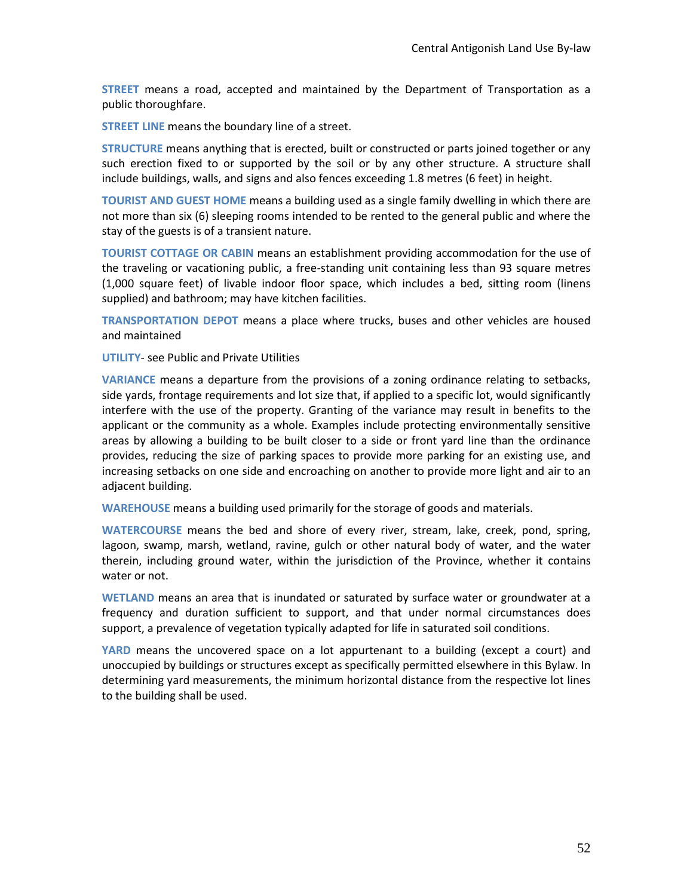**STREET** means a road, accepted and maintained by the Department of Transportation as a public thoroughfare.

**STREET LINE** means the boundary line of a street.

**STRUCTURE** means anything that is erected, built or constructed or parts joined together or any such erection fixed to or supported by the soil or by any other structure. A structure shall include buildings, walls, and signs and also fences exceeding 1.8 metres (6 feet) in height.

**TOURIST AND GUEST HOME** means a building used as a single family dwelling in which there are not more than six (6) sleeping rooms intended to be rented to the general public and where the stay of the guests is of a transient nature.

**TOURIST COTTAGE OR CABIN** means an establishment providing accommodation for the use of the traveling or vacationing public, a free-standing unit containing less than 93 square metres (1,000 square feet) of livable indoor floor space, which includes a bed, sitting room (linens supplied) and bathroom; may have kitchen facilities.

**TRANSPORTATION DEPOT** means a place where trucks, buses and other vehicles are housed and maintained

**UTILITY**- see Public and Private Utilities

**VARIANCE** means a departure from the provisions of a zoning ordinance relating to setbacks, side yards, frontage requirements and lot size that, if applied to a specific lot, would significantly interfere with the use of the property. Granting of the variance may result in benefits to the applicant or the community as a whole. Examples include protecting environmentally sensitive areas by allowing a building to be built closer to a side or front yard line than the ordinance provides, reducing the size of parking spaces to provide more parking for an existing use, and increasing setbacks on one side and encroaching on another to provide more light and air to an adjacent building.

**WAREHOUSE** means a building used primarily for the storage of goods and materials.

**WATERCOURSE** means the bed and shore of every river, stream, lake, creek, pond, spring, lagoon, swamp, marsh, wetland, ravine, gulch or other natural body of water, and the water therein, including ground water, within the jurisdiction of the Province, whether it contains water or not.

**WETLAND** means an area that is inundated or saturated by surface water or groundwater at a frequency and duration sufficient to support, and that under normal circumstances does support, a prevalence of vegetation typically adapted for life in saturated soil conditions.

**YARD** means the uncovered space on a lot appurtenant to a building (except a court) and unoccupied by buildings or structures except as specifically permitted elsewhere in this Bylaw. In determining yard measurements, the minimum horizontal distance from the respective lot lines to the building shall be used.